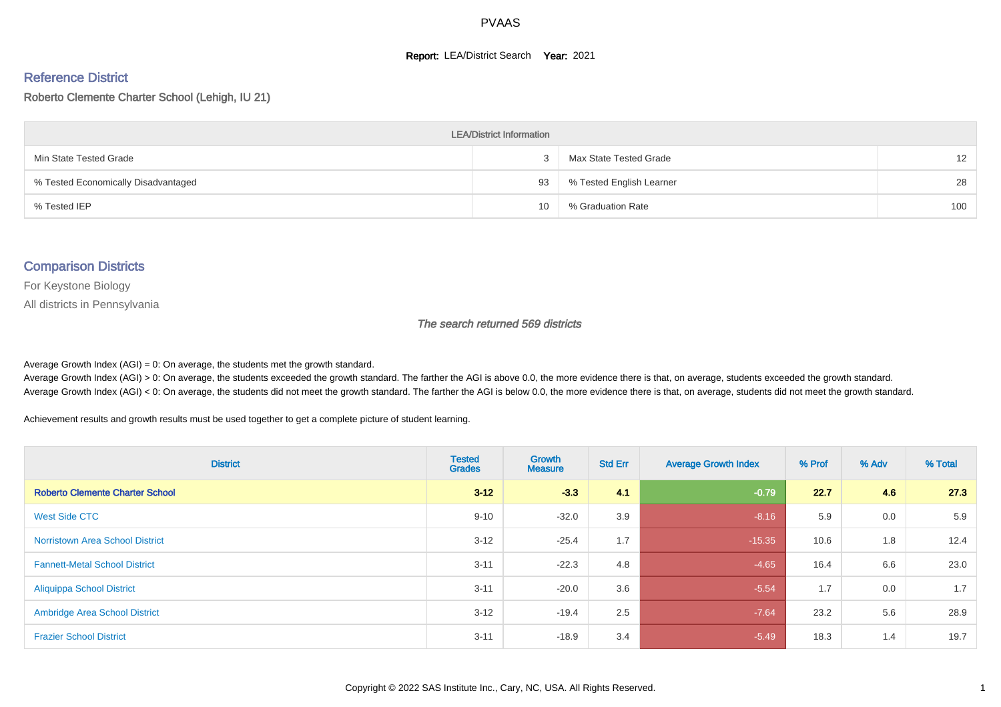#### **Report: LEA/District Search Year: 2021**

#### Reference District

#### Roberto Clemente Charter School (Lehigh, IU 21)

| <b>LEA/District Information</b>     |    |                          |                   |  |  |  |  |  |  |  |
|-------------------------------------|----|--------------------------|-------------------|--|--|--|--|--|--|--|
| Min State Tested Grade              |    | Max State Tested Grade   | $12 \overline{ }$ |  |  |  |  |  |  |  |
| % Tested Economically Disadvantaged | 93 | % Tested English Learner | 28                |  |  |  |  |  |  |  |
| % Tested IEP                        | 10 | % Graduation Rate        | 100               |  |  |  |  |  |  |  |

#### Comparison Districts

For Keystone Biology

All districts in Pennsylvania

#### The search returned 569 districts

Average Growth Index  $(AGI) = 0$ : On average, the students met the growth standard.

Average Growth Index (AGI) > 0: On average, the students exceeded the growth standard. The farther the AGI is above 0.0, the more evidence there is that, on average, students exceeded the growth standard. Average Growth Index (AGI) < 0: On average, the students did not meet the growth standard. The farther the AGI is below 0.0, the more evidence there is that, on average, students did not meet the growth standard.

Achievement results and growth results must be used together to get a complete picture of student learning.

| <b>District</b>                        | <b>Tested</b><br><b>Grades</b> | Growth<br><b>Measure</b> | <b>Std Err</b> | <b>Average Growth Index</b> | % Prof | % Adv | % Total |
|----------------------------------------|--------------------------------|--------------------------|----------------|-----------------------------|--------|-------|---------|
| <b>Roberto Clemente Charter School</b> | $3 - 12$                       | $-3.3$                   | 4.1            | $-0.79$                     | 22.7   | 4.6   | 27.3    |
| West Side CTC                          | $9 - 10$                       | $-32.0$                  | 3.9            | $-8.16$                     | 5.9    | 0.0   | 5.9     |
| <b>Norristown Area School District</b> | $3 - 12$                       | $-25.4$                  | 1.7            | $-15.35$                    | 10.6   | 1.8   | 12.4    |
| <b>Fannett-Metal School District</b>   | $3 - 11$                       | $-22.3$                  | 4.8            | $-4.65$                     | 16.4   | 6.6   | 23.0    |
| <b>Aliquippa School District</b>       | $3 - 11$                       | $-20.0$                  | 3.6            | $-5.54$                     | 1.7    | 0.0   | 1.7     |
| <b>Ambridge Area School District</b>   | $3 - 12$                       | $-19.4$                  | 2.5            | $-7.64$                     | 23.2   | 5.6   | 28.9    |
| <b>Frazier School District</b>         | $3 - 11$                       | $-18.9$                  | 3.4            | $-5.49$                     | 18.3   | 1.4   | 19.7    |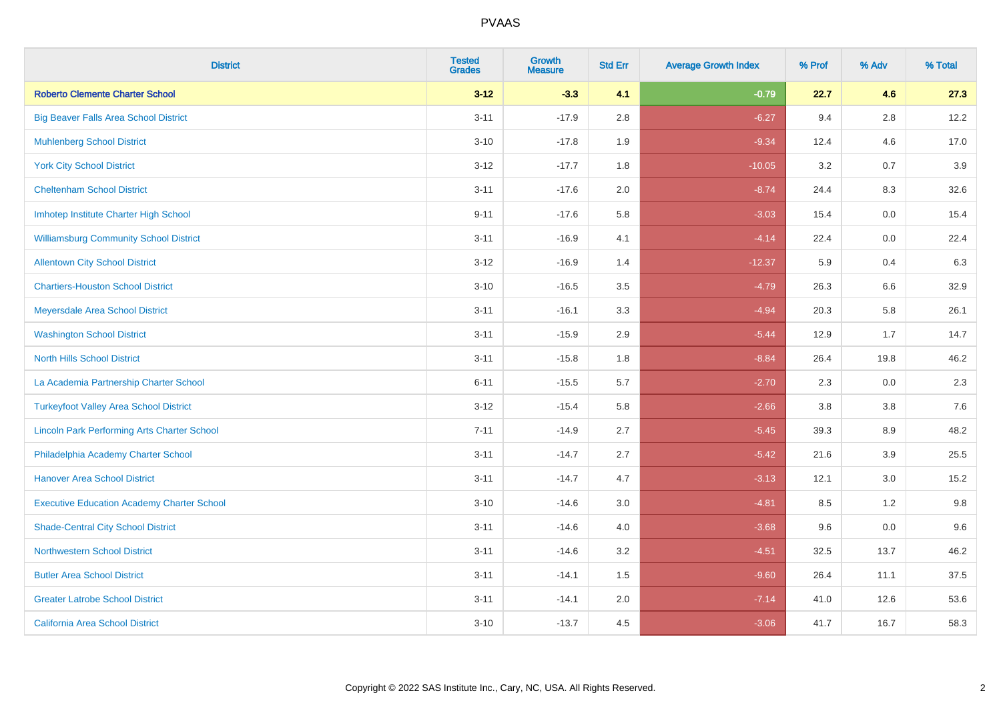| <b>District</b>                                    | <b>Tested</b><br><b>Grades</b> | <b>Growth</b><br><b>Measure</b> | <b>Std Err</b> | <b>Average Growth Index</b> | % Prof | % Adv   | % Total |
|----------------------------------------------------|--------------------------------|---------------------------------|----------------|-----------------------------|--------|---------|---------|
| <b>Roberto Clemente Charter School</b>             | $3 - 12$                       | $-3.3$                          | 4.1            | $-0.79$                     | 22.7   | 4.6     | 27.3    |
| <b>Big Beaver Falls Area School District</b>       | $3 - 11$                       | $-17.9$                         | 2.8            | $-6.27$                     | 9.4    | 2.8     | 12.2    |
| <b>Muhlenberg School District</b>                  | $3 - 10$                       | $-17.8$                         | 1.9            | $-9.34$                     | 12.4   | 4.6     | 17.0    |
| <b>York City School District</b>                   | $3-12$                         | $-17.7$                         | 1.8            | $-10.05$                    | 3.2    | 0.7     | 3.9     |
| <b>Cheltenham School District</b>                  | $3 - 11$                       | $-17.6$                         | 2.0            | $-8.74$                     | 24.4   | 8.3     | 32.6    |
| Imhotep Institute Charter High School              | $9 - 11$                       | $-17.6$                         | 5.8            | $-3.03$                     | 15.4   | 0.0     | 15.4    |
| <b>Williamsburg Community School District</b>      | $3 - 11$                       | $-16.9$                         | 4.1            | $-4.14$                     | 22.4   | $0.0\,$ | 22.4    |
| <b>Allentown City School District</b>              | $3 - 12$                       | $-16.9$                         | 1.4            | $-12.37$                    | 5.9    | 0.4     | 6.3     |
| <b>Chartiers-Houston School District</b>           | $3 - 10$                       | $-16.5$                         | 3.5            | $-4.79$                     | 26.3   | 6.6     | 32.9    |
| Meyersdale Area School District                    | $3 - 11$                       | $-16.1$                         | 3.3            | $-4.94$                     | 20.3   | 5.8     | 26.1    |
| <b>Washington School District</b>                  | $3 - 11$                       | $-15.9$                         | 2.9            | $-5.44$                     | 12.9   | 1.7     | 14.7    |
| <b>North Hills School District</b>                 | $3 - 11$                       | $-15.8$                         | 1.8            | $-8.84$                     | 26.4   | 19.8    | 46.2    |
| La Academia Partnership Charter School             | $6 - 11$                       | $-15.5$                         | 5.7            | $-2.70$                     | 2.3    | 0.0     | 2.3     |
| <b>Turkeyfoot Valley Area School District</b>      | $3 - 12$                       | $-15.4$                         | 5.8            | $-2.66$                     | 3.8    | $3.8\,$ | 7.6     |
| <b>Lincoln Park Performing Arts Charter School</b> | $7 - 11$                       | $-14.9$                         | 2.7            | $-5.45$                     | 39.3   | 8.9     | 48.2    |
| Philadelphia Academy Charter School                | $3 - 11$                       | $-14.7$                         | 2.7            | $-5.42$                     | 21.6   | 3.9     | 25.5    |
| <b>Hanover Area School District</b>                | $3 - 11$                       | $-14.7$                         | 4.7            | $-3.13$                     | 12.1   | 3.0     | 15.2    |
| <b>Executive Education Academy Charter School</b>  | $3 - 10$                       | $-14.6$                         | 3.0            | $-4.81$                     | 8.5    | 1.2     | 9.8     |
| <b>Shade-Central City School District</b>          | $3 - 11$                       | $-14.6$                         | 4.0            | $-3.68$                     | 9.6    | 0.0     | 9.6     |
| <b>Northwestern School District</b>                | $3 - 11$                       | $-14.6$                         | 3.2            | $-4.51$                     | 32.5   | 13.7    | 46.2    |
| <b>Butler Area School District</b>                 | $3 - 11$                       | $-14.1$                         | 1.5            | $-9.60$                     | 26.4   | 11.1    | 37.5    |
| <b>Greater Latrobe School District</b>             | $3 - 11$                       | $-14.1$                         | 2.0            | $-7.14$                     | 41.0   | 12.6    | 53.6    |
| <b>California Area School District</b>             | $3 - 10$                       | $-13.7$                         | 4.5            | $-3.06$                     | 41.7   | 16.7    | 58.3    |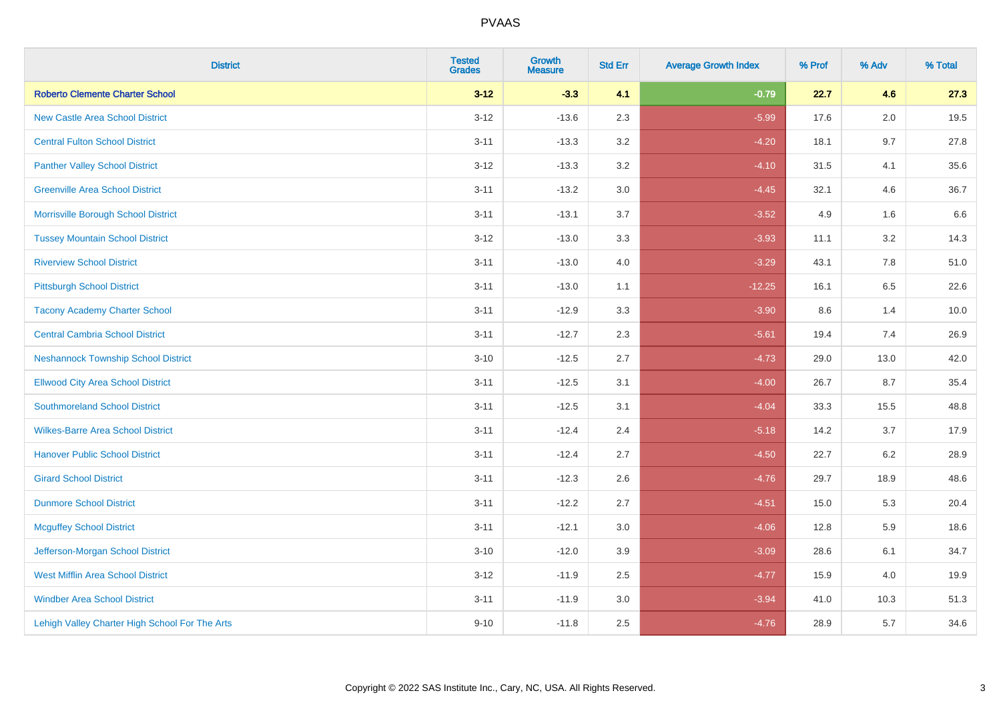| <b>District</b>                                | <b>Tested</b><br><b>Grades</b> | <b>Growth</b><br><b>Measure</b> | <b>Std Err</b> | <b>Average Growth Index</b> | % Prof | % Adv | % Total |
|------------------------------------------------|--------------------------------|---------------------------------|----------------|-----------------------------|--------|-------|---------|
| <b>Roberto Clemente Charter School</b>         | $3 - 12$                       | $-3.3$                          | 4.1            | $-0.79$                     | 22.7   | 4.6   | 27.3    |
| <b>New Castle Area School District</b>         | $3 - 12$                       | $-13.6$                         | 2.3            | $-5.99$                     | 17.6   | 2.0   | 19.5    |
| <b>Central Fulton School District</b>          | $3 - 11$                       | $-13.3$                         | 3.2            | $-4.20$                     | 18.1   | 9.7   | 27.8    |
| <b>Panther Valley School District</b>          | $3 - 12$                       | $-13.3$                         | 3.2            | $-4.10$                     | 31.5   | 4.1   | 35.6    |
| <b>Greenville Area School District</b>         | $3 - 11$                       | $-13.2$                         | 3.0            | $-4.45$                     | 32.1   | 4.6   | 36.7    |
| Morrisville Borough School District            | $3 - 11$                       | $-13.1$                         | 3.7            | $-3.52$                     | 4.9    | 1.6   | 6.6     |
| <b>Tussey Mountain School District</b>         | $3 - 12$                       | $-13.0$                         | 3.3            | $-3.93$                     | 11.1   | 3.2   | 14.3    |
| <b>Riverview School District</b>               | $3 - 11$                       | $-13.0$                         | 4.0            | $-3.29$                     | 43.1   | 7.8   | 51.0    |
| <b>Pittsburgh School District</b>              | $3 - 11$                       | $-13.0$                         | 1.1            | $-12.25$                    | 16.1   | 6.5   | 22.6    |
| <b>Tacony Academy Charter School</b>           | $3 - 11$                       | $-12.9$                         | 3.3            | $-3.90$                     | 8.6    | 1.4   | 10.0    |
| <b>Central Cambria School District</b>         | $3 - 11$                       | $-12.7$                         | 2.3            | $-5.61$                     | 19.4   | 7.4   | 26.9    |
| <b>Neshannock Township School District</b>     | $3 - 10$                       | $-12.5$                         | 2.7            | $-4.73$                     | 29.0   | 13.0  | 42.0    |
| <b>Ellwood City Area School District</b>       | $3 - 11$                       | $-12.5$                         | 3.1            | $-4.00$                     | 26.7   | 8.7   | 35.4    |
| <b>Southmoreland School District</b>           | $3 - 11$                       | $-12.5$                         | 3.1            | $-4.04$                     | 33.3   | 15.5  | 48.8    |
| <b>Wilkes-Barre Area School District</b>       | $3 - 11$                       | $-12.4$                         | 2.4            | $-5.18$                     | 14.2   | 3.7   | 17.9    |
| <b>Hanover Public School District</b>          | $3 - 11$                       | $-12.4$                         | 2.7            | $-4.50$                     | 22.7   | 6.2   | 28.9    |
| <b>Girard School District</b>                  | $3 - 11$                       | $-12.3$                         | 2.6            | $-4.76$                     | 29.7   | 18.9  | 48.6    |
| <b>Dunmore School District</b>                 | $3 - 11$                       | $-12.2$                         | 2.7            | $-4.51$                     | 15.0   | 5.3   | 20.4    |
| <b>Mcguffey School District</b>                | $3 - 11$                       | $-12.1$                         | 3.0            | $-4.06$                     | 12.8   | 5.9   | 18.6    |
| Jefferson-Morgan School District               | $3 - 10$                       | $-12.0$                         | 3.9            | $-3.09$                     | 28.6   | 6.1   | 34.7    |
| West Mifflin Area School District              | $3-12$                         | $-11.9$                         | 2.5            | $-4.77$                     | 15.9   | 4.0   | 19.9    |
| <b>Windber Area School District</b>            | $3 - 11$                       | $-11.9$                         | 3.0            | $-3.94$                     | 41.0   | 10.3  | 51.3    |
| Lehigh Valley Charter High School For The Arts | $9 - 10$                       | $-11.8$                         | 2.5            | $-4.76$                     | 28.9   | 5.7   | 34.6    |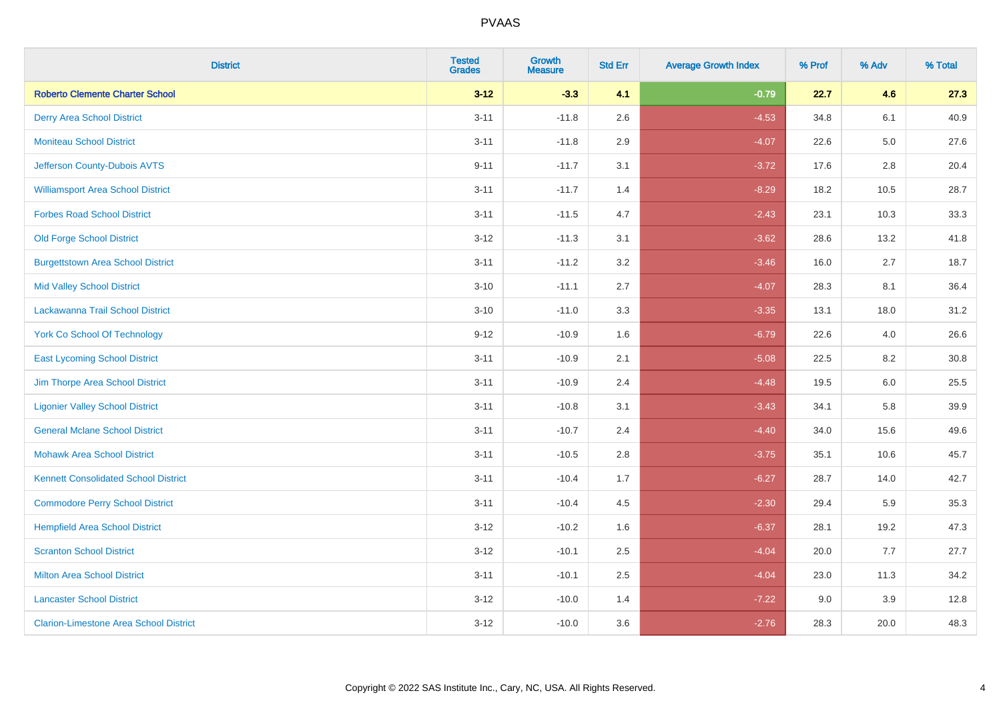| <b>District</b>                               | <b>Tested</b><br><b>Grades</b> | <b>Growth</b><br><b>Measure</b> | <b>Std Err</b> | <b>Average Growth Index</b> | % Prof | % Adv   | % Total |
|-----------------------------------------------|--------------------------------|---------------------------------|----------------|-----------------------------|--------|---------|---------|
| <b>Roberto Clemente Charter School</b>        | $3 - 12$                       | $-3.3$                          | 4.1            | $-0.79$                     | 22.7   | 4.6     | 27.3    |
| <b>Derry Area School District</b>             | $3 - 11$                       | $-11.8$                         | 2.6            | $-4.53$                     | 34.8   | 6.1     | 40.9    |
| <b>Moniteau School District</b>               | $3 - 11$                       | $-11.8$                         | 2.9            | $-4.07$                     | 22.6   | $5.0\,$ | 27.6    |
| Jefferson County-Dubois AVTS                  | $9 - 11$                       | $-11.7$                         | 3.1            | $-3.72$                     | 17.6   | 2.8     | 20.4    |
| <b>Williamsport Area School District</b>      | $3 - 11$                       | $-11.7$                         | 1.4            | $-8.29$                     | 18.2   | 10.5    | 28.7    |
| <b>Forbes Road School District</b>            | $3 - 11$                       | $-11.5$                         | 4.7            | $-2.43$                     | 23.1   | 10.3    | 33.3    |
| <b>Old Forge School District</b>              | $3 - 12$                       | $-11.3$                         | 3.1            | $-3.62$                     | 28.6   | 13.2    | 41.8    |
| <b>Burgettstown Area School District</b>      | $3 - 11$                       | $-11.2$                         | 3.2            | $-3.46$                     | 16.0   | 2.7     | 18.7    |
| <b>Mid Valley School District</b>             | $3 - 10$                       | $-11.1$                         | 2.7            | $-4.07$                     | 28.3   | 8.1     | 36.4    |
| Lackawanna Trail School District              | $3 - 10$                       | $-11.0$                         | 3.3            | $-3.35$                     | 13.1   | 18.0    | 31.2    |
| <b>York Co School Of Technology</b>           | $9 - 12$                       | $-10.9$                         | 1.6            | $-6.79$                     | 22.6   | 4.0     | 26.6    |
| <b>East Lycoming School District</b>          | $3 - 11$                       | $-10.9$                         | 2.1            | $-5.08$                     | 22.5   | 8.2     | 30.8    |
| Jim Thorpe Area School District               | $3 - 11$                       | $-10.9$                         | 2.4            | $-4.48$                     | 19.5   | 6.0     | 25.5    |
| <b>Ligonier Valley School District</b>        | $3 - 11$                       | $-10.8$                         | 3.1            | $-3.43$                     | 34.1   | 5.8     | 39.9    |
| <b>General Mclane School District</b>         | $3 - 11$                       | $-10.7$                         | 2.4            | $-4.40$                     | 34.0   | 15.6    | 49.6    |
| <b>Mohawk Area School District</b>            | $3 - 11$                       | $-10.5$                         | 2.8            | $-3.75$                     | 35.1   | 10.6    | 45.7    |
| <b>Kennett Consolidated School District</b>   | $3 - 11$                       | $-10.4$                         | 1.7            | $-6.27$                     | 28.7   | 14.0    | 42.7    |
| <b>Commodore Perry School District</b>        | $3 - 11$                       | $-10.4$                         | 4.5            | $-2.30$                     | 29.4   | 5.9     | 35.3    |
| <b>Hempfield Area School District</b>         | $3 - 12$                       | $-10.2$                         | 1.6            | $-6.37$                     | 28.1   | 19.2    | 47.3    |
| <b>Scranton School District</b>               | $3 - 12$                       | $-10.1$                         | 2.5            | $-4.04$                     | 20.0   | 7.7     | 27.7    |
| <b>Milton Area School District</b>            | $3 - 11$                       | $-10.1$                         | 2.5            | $-4.04$                     | 23.0   | 11.3    | 34.2    |
| <b>Lancaster School District</b>              | $3 - 12$                       | $-10.0$                         | 1.4            | $-7.22$                     | 9.0    | 3.9     | 12.8    |
| <b>Clarion-Limestone Area School District</b> | $3 - 12$                       | $-10.0$                         | 3.6            | $-2.76$                     | 28.3   | 20.0    | 48.3    |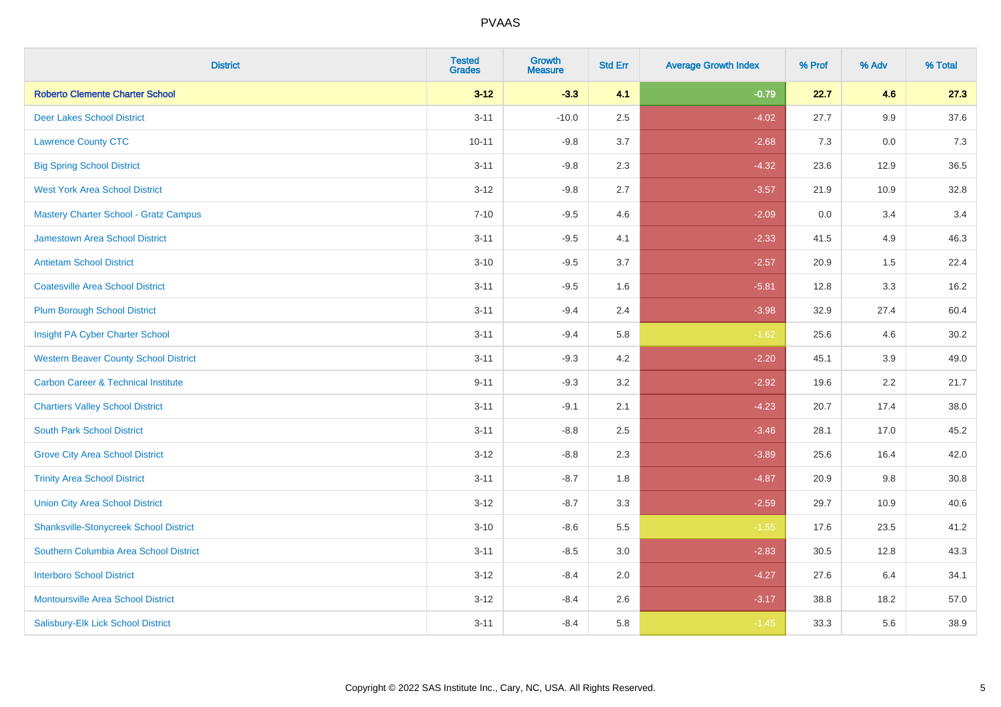| <b>District</b>                                | <b>Tested</b><br><b>Grades</b> | Growth<br><b>Measure</b> | <b>Std Err</b> | <b>Average Growth Index</b> | % Prof | % Adv | % Total |
|------------------------------------------------|--------------------------------|--------------------------|----------------|-----------------------------|--------|-------|---------|
| <b>Roberto Clemente Charter School</b>         | $3 - 12$                       | $-3.3$                   | 4.1            | $-0.79$                     | 22.7   | 4.6   | 27.3    |
| <b>Deer Lakes School District</b>              | $3 - 11$                       | $-10.0$                  | 2.5            | $-4.02$                     | 27.7   | 9.9   | 37.6    |
| <b>Lawrence County CTC</b>                     | $10 - 11$                      | $-9.8$                   | 3.7            | $-2.68$                     | 7.3    | 0.0   | 7.3     |
| <b>Big Spring School District</b>              | $3 - 11$                       | $-9.8$                   | 2.3            | $-4.32$                     | 23.6   | 12.9  | 36.5    |
| <b>West York Area School District</b>          | $3 - 12$                       | $-9.8$                   | 2.7            | $-3.57$                     | 21.9   | 10.9  | 32.8    |
| <b>Mastery Charter School - Gratz Campus</b>   | $7 - 10$                       | $-9.5$                   | 4.6            | $-2.09$                     | 0.0    | 3.4   | 3.4     |
| Jamestown Area School District                 | $3 - 11$                       | $-9.5$                   | 4.1            | $-2.33$                     | 41.5   | 4.9   | 46.3    |
| <b>Antietam School District</b>                | $3 - 10$                       | $-9.5$                   | 3.7            | $-2.57$                     | 20.9   | 1.5   | 22.4    |
| <b>Coatesville Area School District</b>        | $3 - 11$                       | $-9.5$                   | 1.6            | $-5.81$                     | 12.8   | 3.3   | 16.2    |
| <b>Plum Borough School District</b>            | $3 - 11$                       | $-9.4$                   | 2.4            | $-3.98$                     | 32.9   | 27.4  | 60.4    |
| Insight PA Cyber Charter School                | $3 - 11$                       | $-9.4$                   | 5.8            | $-1.62$                     | 25.6   | 4.6   | 30.2    |
| <b>Western Beaver County School District</b>   | $3 - 11$                       | $-9.3$                   | 4.2            | $-2.20$                     | 45.1   | 3.9   | 49.0    |
| <b>Carbon Career &amp; Technical Institute</b> | $9 - 11$                       | $-9.3$                   | 3.2            | $-2.92$                     | 19.6   | 2.2   | 21.7    |
| <b>Chartiers Valley School District</b>        | $3 - 11$                       | $-9.1$                   | 2.1            | $-4.23$                     | 20.7   | 17.4  | 38.0    |
| <b>South Park School District</b>              | $3 - 11$                       | $-8.8$                   | 2.5            | $-3.46$                     | 28.1   | 17.0  | 45.2    |
| <b>Grove City Area School District</b>         | $3 - 12$                       | $-8.8$                   | 2.3            | $-3.89$                     | 25.6   | 16.4  | 42.0    |
| <b>Trinity Area School District</b>            | $3 - 11$                       | $-8.7$                   | 1.8            | $-4.87$                     | 20.9   | 9.8   | 30.8    |
| <b>Union City Area School District</b>         | $3 - 12$                       | $-8.7$                   | 3.3            | $-2.59$                     | 29.7   | 10.9  | 40.6    |
| <b>Shanksville-Stonycreek School District</b>  | $3 - 10$                       | $-8.6$                   | 5.5            | $-1.55$                     | 17.6   | 23.5  | 41.2    |
| Southern Columbia Area School District         | $3 - 11$                       | $-8.5$                   | 3.0            | $-2.83$                     | 30.5   | 12.8  | 43.3    |
| <b>Interboro School District</b>               | $3 - 12$                       | $-8.4$                   | 2.0            | $-4.27$                     | 27.6   | 6.4   | 34.1    |
| <b>Montoursville Area School District</b>      | $3 - 12$                       | $-8.4$                   | 2.6            | $-3.17$                     | 38.8   | 18.2  | 57.0    |
| Salisbury-Elk Lick School District             | $3 - 11$                       | $-8.4$                   | 5.8            | $-1.45$                     | 33.3   | 5.6   | 38.9    |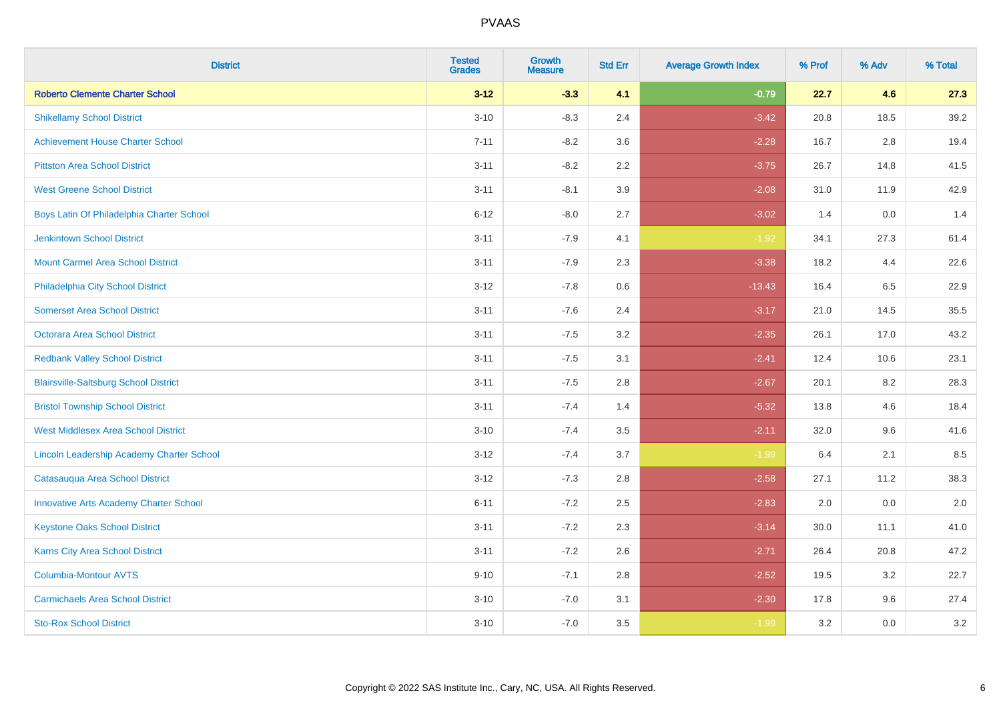| <b>District</b>                                  | <b>Tested</b><br><b>Grades</b> | <b>Growth</b><br><b>Measure</b> | <b>Std Err</b> | <b>Average Growth Index</b> | % Prof | % Adv   | % Total |
|--------------------------------------------------|--------------------------------|---------------------------------|----------------|-----------------------------|--------|---------|---------|
| <b>Roberto Clemente Charter School</b>           | $3 - 12$                       | $-3.3$                          | 4.1            | $-0.79$                     | 22.7   | 4.6     | 27.3    |
| <b>Shikellamy School District</b>                | $3 - 10$                       | $-8.3$                          | 2.4            | $-3.42$                     | 20.8   | 18.5    | 39.2    |
| <b>Achievement House Charter School</b>          | $7 - 11$                       | $-8.2$                          | 3.6            | $-2.28$                     | 16.7   | 2.8     | 19.4    |
| <b>Pittston Area School District</b>             | $3 - 11$                       | $-8.2$                          | 2.2            | $-3.75$                     | 26.7   | 14.8    | 41.5    |
| <b>West Greene School District</b>               | $3 - 11$                       | $-8.1$                          | 3.9            | $-2.08$                     | 31.0   | 11.9    | 42.9    |
| Boys Latin Of Philadelphia Charter School        | $6 - 12$                       | $-8.0$                          | 2.7            | $-3.02$                     | 1.4    | 0.0     | 1.4     |
| Jenkintown School District                       | $3 - 11$                       | $-7.9$                          | 4.1            | $-1.92$                     | 34.1   | 27.3    | 61.4    |
| <b>Mount Carmel Area School District</b>         | $3 - 11$                       | $-7.9$                          | 2.3            | $-3.38$                     | 18.2   | 4.4     | 22.6    |
| Philadelphia City School District                | $3 - 12$                       | $-7.8$                          | 0.6            | $-13.43$                    | 16.4   | 6.5     | 22.9    |
| <b>Somerset Area School District</b>             | $3 - 11$                       | $-7.6$                          | 2.4            | $-3.17$                     | 21.0   | 14.5    | 35.5    |
| Octorara Area School District                    | $3 - 11$                       | $-7.5$                          | 3.2            | $-2.35$                     | 26.1   | 17.0    | 43.2    |
| <b>Redbank Valley School District</b>            | $3 - 11$                       | $-7.5$                          | 3.1            | $-2.41$                     | 12.4   | 10.6    | 23.1    |
| <b>Blairsville-Saltsburg School District</b>     | $3 - 11$                       | $-7.5$                          | 2.8            | $-2.67$                     | 20.1   | $8.2\,$ | 28.3    |
| <b>Bristol Township School District</b>          | $3 - 11$                       | $-7.4$                          | 1.4            | $-5.32$                     | 13.8   | 4.6     | 18.4    |
| <b>West Middlesex Area School District</b>       | $3 - 10$                       | $-7.4$                          | 3.5            | $-2.11$                     | 32.0   | 9.6     | 41.6    |
| <b>Lincoln Leadership Academy Charter School</b> | $3 - 12$                       | $-7.4$                          | 3.7            | $-1.99$                     | 6.4    | 2.1     | 8.5     |
| Catasauqua Area School District                  | $3 - 12$                       | $-7.3$                          | 2.8            | $-2.58$                     | 27.1   | 11.2    | 38.3    |
| <b>Innovative Arts Academy Charter School</b>    | $6 - 11$                       | $-7.2$                          | 2.5            | $-2.83$                     | 2.0    | 0.0     | 2.0     |
| <b>Keystone Oaks School District</b>             | $3 - 11$                       | $-7.2$                          | 2.3            | $-3.14$                     | 30.0   | 11.1    | 41.0    |
| Karns City Area School District                  | $3 - 11$                       | $-7.2$                          | 2.6            | $-2.71$                     | 26.4   | 20.8    | 47.2    |
| Columbia-Montour AVTS                            | $9 - 10$                       | $-7.1$                          | 2.8            | $-2.52$                     | 19.5   | 3.2     | 22.7    |
| <b>Carmichaels Area School District</b>          | $3 - 10$                       | $-7.0$                          | 3.1            | $-2.30$                     | 17.8   | 9.6     | 27.4    |
| <b>Sto-Rox School District</b>                   | $3 - 10$                       | $-7.0$                          | 3.5            | $-1.99$                     | 3.2    | 0.0     | 3.2     |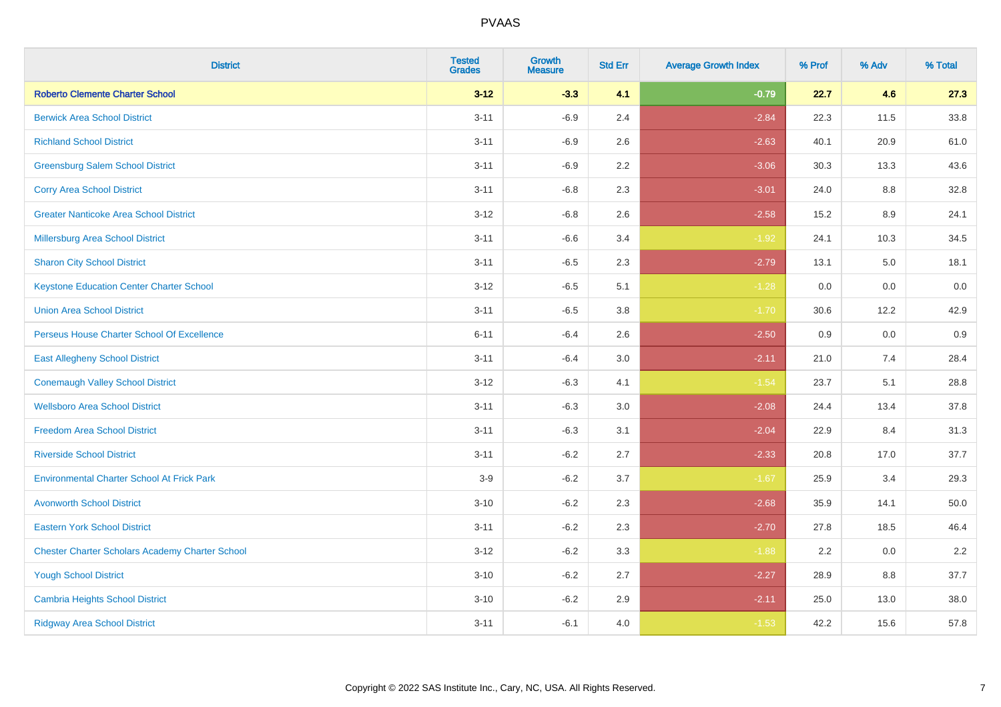| <b>District</b>                                        | <b>Tested</b><br><b>Grades</b> | Growth<br><b>Measure</b> | <b>Std Err</b> | <b>Average Growth Index</b> | % Prof | % Adv | % Total |
|--------------------------------------------------------|--------------------------------|--------------------------|----------------|-----------------------------|--------|-------|---------|
| <b>Roberto Clemente Charter School</b>                 | $3 - 12$                       | $-3.3$                   | 4.1            | $-0.79$                     | 22.7   | 4.6   | 27.3    |
| <b>Berwick Area School District</b>                    | $3 - 11$                       | $-6.9$                   | 2.4            | $-2.84$                     | 22.3   | 11.5  | 33.8    |
| <b>Richland School District</b>                        | $3 - 11$                       | $-6.9$                   | 2.6            | $-2.63$                     | 40.1   | 20.9  | 61.0    |
| <b>Greensburg Salem School District</b>                | $3 - 11$                       | $-6.9$                   | 2.2            | $-3.06$                     | 30.3   | 13.3  | 43.6    |
| <b>Corry Area School District</b>                      | $3 - 11$                       | $-6.8$                   | 2.3            | $-3.01$                     | 24.0   | 8.8   | 32.8    |
| <b>Greater Nanticoke Area School District</b>          | $3-12$                         | $-6.8$                   | 2.6            | $-2.58$                     | 15.2   | 8.9   | 24.1    |
| <b>Millersburg Area School District</b>                | $3 - 11$                       | $-6.6$                   | 3.4            | $-1.92$                     | 24.1   | 10.3  | 34.5    |
| <b>Sharon City School District</b>                     | $3 - 11$                       | $-6.5$                   | 2.3            | $-2.79$                     | 13.1   | 5.0   | 18.1    |
| <b>Keystone Education Center Charter School</b>        | $3-12$                         | $-6.5$                   | 5.1            | $-1.28$                     | 0.0    | 0.0   | 0.0     |
| <b>Union Area School District</b>                      | $3 - 11$                       | $-6.5$                   | 3.8            | $-1.70$                     | 30.6   | 12.2  | 42.9    |
| Perseus House Charter School Of Excellence             | $6 - 11$                       | $-6.4$                   | 2.6            | $-2.50$                     | 0.9    | 0.0   | 0.9     |
| <b>East Allegheny School District</b>                  | $3 - 11$                       | $-6.4$                   | 3.0            | $-2.11$                     | 21.0   | 7.4   | 28.4    |
| <b>Conemaugh Valley School District</b>                | $3 - 12$                       | $-6.3$                   | 4.1            | $-1.54$                     | 23.7   | 5.1   | 28.8    |
| <b>Wellsboro Area School District</b>                  | $3 - 11$                       | $-6.3$                   | 3.0            | $-2.08$                     | 24.4   | 13.4  | 37.8    |
| <b>Freedom Area School District</b>                    | $3 - 11$                       | $-6.3$                   | 3.1            | $-2.04$                     | 22.9   | 8.4   | 31.3    |
| <b>Riverside School District</b>                       | $3 - 11$                       | $-6.2$                   | 2.7            | $-2.33$                     | 20.8   | 17.0  | 37.7    |
| <b>Environmental Charter School At Frick Park</b>      | $3-9$                          | $-6.2$                   | 3.7            | $-1.67$                     | 25.9   | 3.4   | 29.3    |
| <b>Avonworth School District</b>                       | $3 - 10$                       | $-6.2$                   | 2.3            | $-2.68$                     | 35.9   | 14.1  | 50.0    |
| <b>Eastern York School District</b>                    | $3 - 11$                       | $-6.2$                   | 2.3            | $-2.70$                     | 27.8   | 18.5  | 46.4    |
| <b>Chester Charter Scholars Academy Charter School</b> | $3-12$                         | $-6.2$                   | 3.3            | $-1.88$                     | 2.2    | 0.0   | 2.2     |
| <b>Yough School District</b>                           | $3 - 10$                       | $-6.2$                   | 2.7            | $-2.27$                     | 28.9   | 8.8   | 37.7    |
| <b>Cambria Heights School District</b>                 | $3 - 10$                       | $-6.2$                   | 2.9            | $-2.11$                     | 25.0   | 13.0  | 38.0    |
| <b>Ridgway Area School District</b>                    | $3 - 11$                       | $-6.1$                   | 4.0            | $-1.53$                     | 42.2   | 15.6  | 57.8    |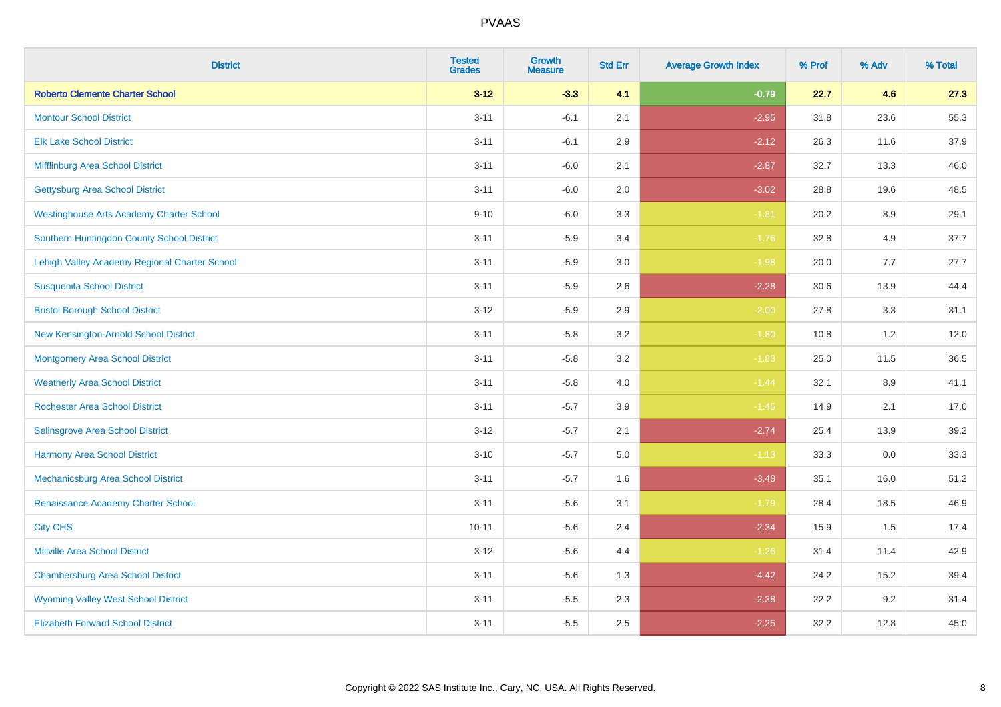| <b>District</b>                                 | <b>Tested</b><br><b>Grades</b> | <b>Growth</b><br><b>Measure</b> | <b>Std Err</b> | <b>Average Growth Index</b> | % Prof | % Adv   | % Total |
|-------------------------------------------------|--------------------------------|---------------------------------|----------------|-----------------------------|--------|---------|---------|
| <b>Roberto Clemente Charter School</b>          | $3 - 12$                       | $-3.3$                          | 4.1            | $-0.79$                     | 22.7   | 4.6     | 27.3    |
| <b>Montour School District</b>                  | $3 - 11$                       | $-6.1$                          | 2.1            | $-2.95$                     | 31.8   | 23.6    | 55.3    |
| <b>Elk Lake School District</b>                 | $3 - 11$                       | $-6.1$                          | 2.9            | $-2.12$                     | 26.3   | 11.6    | 37.9    |
| Mifflinburg Area School District                | $3 - 11$                       | $-6.0$                          | 2.1            | $-2.87$                     | 32.7   | 13.3    | 46.0    |
| <b>Gettysburg Area School District</b>          | $3 - 11$                       | $-6.0$                          | 2.0            | $-3.02$                     | 28.8   | 19.6    | 48.5    |
| <b>Westinghouse Arts Academy Charter School</b> | $9 - 10$                       | $-6.0$                          | 3.3            | $-1.81$                     | 20.2   | $8.9\,$ | 29.1    |
| Southern Huntingdon County School District      | $3 - 11$                       | $-5.9$                          | 3.4            | $-1.76$                     | 32.8   | 4.9     | 37.7    |
| Lehigh Valley Academy Regional Charter School   | $3 - 11$                       | $-5.9$                          | 3.0            | $-1.98$                     | 20.0   | 7.7     | 27.7    |
| <b>Susquenita School District</b>               | $3 - 11$                       | $-5.9$                          | 2.6            | $-2.28$                     | 30.6   | 13.9    | 44.4    |
| <b>Bristol Borough School District</b>          | $3 - 12$                       | $-5.9$                          | 2.9            | $-2.00$                     | 27.8   | 3.3     | 31.1    |
| New Kensington-Arnold School District           | $3 - 11$                       | $-5.8$                          | 3.2            | $-1.80$                     | 10.8   | 1.2     | 12.0    |
| <b>Montgomery Area School District</b>          | $3 - 11$                       | $-5.8$                          | 3.2            | $-1.83$                     | 25.0   | 11.5    | 36.5    |
| <b>Weatherly Area School District</b>           | $3 - 11$                       | $-5.8$                          | 4.0            | $-1.44$                     | 32.1   | 8.9     | 41.1    |
| <b>Rochester Area School District</b>           | $3 - 11$                       | $-5.7$                          | 3.9            | $-1.45$                     | 14.9   | 2.1     | 17.0    |
| <b>Selinsgrove Area School District</b>         | $3 - 12$                       | $-5.7$                          | 2.1            | $-2.74$                     | 25.4   | 13.9    | 39.2    |
| <b>Harmony Area School District</b>             | $3 - 10$                       | $-5.7$                          | 5.0            | $-1.13$                     | 33.3   | $0.0\,$ | 33.3    |
| Mechanicsburg Area School District              | $3 - 11$                       | $-5.7$                          | 1.6            | $-3.48$                     | 35.1   | 16.0    | 51.2    |
| Renaissance Academy Charter School              | $3 - 11$                       | $-5.6$                          | 3.1            | $-1.79$                     | 28.4   | 18.5    | 46.9    |
| <b>City CHS</b>                                 | $10 - 11$                      | $-5.6$                          | 2.4            | $-2.34$                     | 15.9   | 1.5     | 17.4    |
| <b>Millville Area School District</b>           | $3 - 12$                       | $-5.6$                          | 4.4            | $-1.26$                     | 31.4   | 11.4    | 42.9    |
| <b>Chambersburg Area School District</b>        | $3 - 11$                       | $-5.6$                          | 1.3            | $-4.42$                     | 24.2   | 15.2    | 39.4    |
| <b>Wyoming Valley West School District</b>      | $3 - 11$                       | $-5.5$                          | 2.3            | $-2.38$                     | 22.2   | 9.2     | 31.4    |
| <b>Elizabeth Forward School District</b>        | $3 - 11$                       | $-5.5$                          | 2.5            | $-2.25$                     | 32.2   | 12.8    | 45.0    |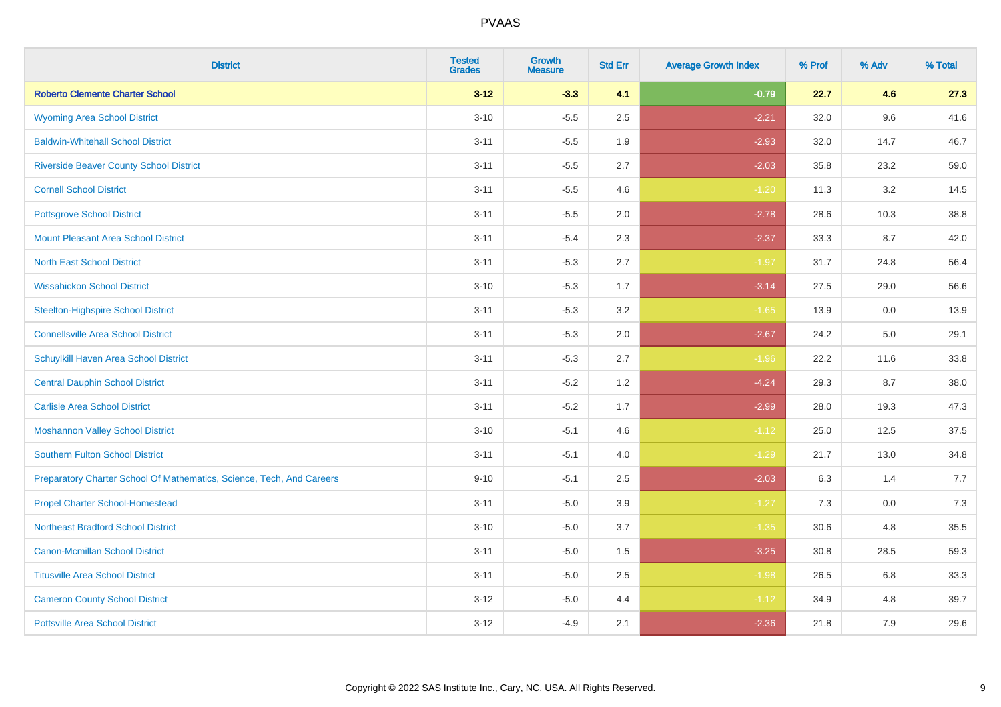| <b>District</b>                                                       | <b>Tested</b><br><b>Grades</b> | Growth<br><b>Measure</b> | <b>Std Err</b> | <b>Average Growth Index</b> | % Prof | % Adv | % Total |
|-----------------------------------------------------------------------|--------------------------------|--------------------------|----------------|-----------------------------|--------|-------|---------|
| <b>Roberto Clemente Charter School</b>                                | $3 - 12$                       | $-3.3$                   | 4.1            | $-0.79$                     | 22.7   | 4.6   | 27.3    |
| <b>Wyoming Area School District</b>                                   | $3 - 10$                       | $-5.5$                   | 2.5            | $-2.21$                     | 32.0   | 9.6   | 41.6    |
| <b>Baldwin-Whitehall School District</b>                              | $3 - 11$                       | $-5.5$                   | 1.9            | $-2.93$                     | 32.0   | 14.7  | 46.7    |
| <b>Riverside Beaver County School District</b>                        | $3 - 11$                       | $-5.5$                   | 2.7            | $-2.03$                     | 35.8   | 23.2  | 59.0    |
| <b>Cornell School District</b>                                        | $3 - 11$                       | $-5.5$                   | 4.6            | $-1.20$                     | 11.3   | 3.2   | 14.5    |
| <b>Pottsgrove School District</b>                                     | $3 - 11$                       | $-5.5$                   | 2.0            | $-2.78$                     | 28.6   | 10.3  | 38.8    |
| <b>Mount Pleasant Area School District</b>                            | $3 - 11$                       | $-5.4$                   | 2.3            | $-2.37$                     | 33.3   | 8.7   | 42.0    |
| <b>North East School District</b>                                     | $3 - 11$                       | $-5.3$                   | 2.7            | $-1.97$                     | 31.7   | 24.8  | 56.4    |
| <b>Wissahickon School District</b>                                    | $3 - 10$                       | $-5.3$                   | 1.7            | $-3.14$                     | 27.5   | 29.0  | 56.6    |
| <b>Steelton-Highspire School District</b>                             | $3 - 11$                       | $-5.3$                   | 3.2            | $-1.65$                     | 13.9   | 0.0   | 13.9    |
| <b>Connellsville Area School District</b>                             | $3 - 11$                       | $-5.3$                   | 2.0            | $-2.67$                     | 24.2   | 5.0   | 29.1    |
| Schuylkill Haven Area School District                                 | $3 - 11$                       | $-5.3$                   | 2.7            | $-1.96$                     | 22.2   | 11.6  | 33.8    |
| <b>Central Dauphin School District</b>                                | $3 - 11$                       | $-5.2$                   | 1.2            | $-4.24$                     | 29.3   | 8.7   | 38.0    |
| <b>Carlisle Area School District</b>                                  | $3 - 11$                       | $-5.2$                   | 1.7            | $-2.99$                     | 28.0   | 19.3  | 47.3    |
| <b>Moshannon Valley School District</b>                               | $3 - 10$                       | $-5.1$                   | 4.6            | $-1.12$                     | 25.0   | 12.5  | 37.5    |
| <b>Southern Fulton School District</b>                                | $3 - 11$                       | $-5.1$                   | 4.0            | $-1.29$                     | 21.7   | 13.0  | 34.8    |
| Preparatory Charter School Of Mathematics, Science, Tech, And Careers | $9 - 10$                       | $-5.1$                   | 2.5            | $-2.03$                     | 6.3    | 1.4   | 7.7     |
| <b>Propel Charter School-Homestead</b>                                | $3 - 11$                       | $-5.0$                   | 3.9            | $-1.27$                     | 7.3    | 0.0   | 7.3     |
| <b>Northeast Bradford School District</b>                             | $3 - 10$                       | $-5.0$                   | 3.7            | $-1.35$                     | 30.6   | 4.8   | 35.5    |
| <b>Canon-Mcmillan School District</b>                                 | $3 - 11$                       | $-5.0$                   | 1.5            | $-3.25$                     | 30.8   | 28.5  | 59.3    |
| <b>Titusville Area School District</b>                                | $3 - 11$                       | $-5.0$                   | 2.5            | $-1.98$                     | 26.5   | 6.8   | 33.3    |
| <b>Cameron County School District</b>                                 | $3-12$                         | $-5.0$                   | 4.4            | $-1.12$                     | 34.9   | 4.8   | 39.7    |
| <b>Pottsville Area School District</b>                                | $3 - 12$                       | $-4.9$                   | 2.1            | $-2.36$                     | 21.8   | 7.9   | 29.6    |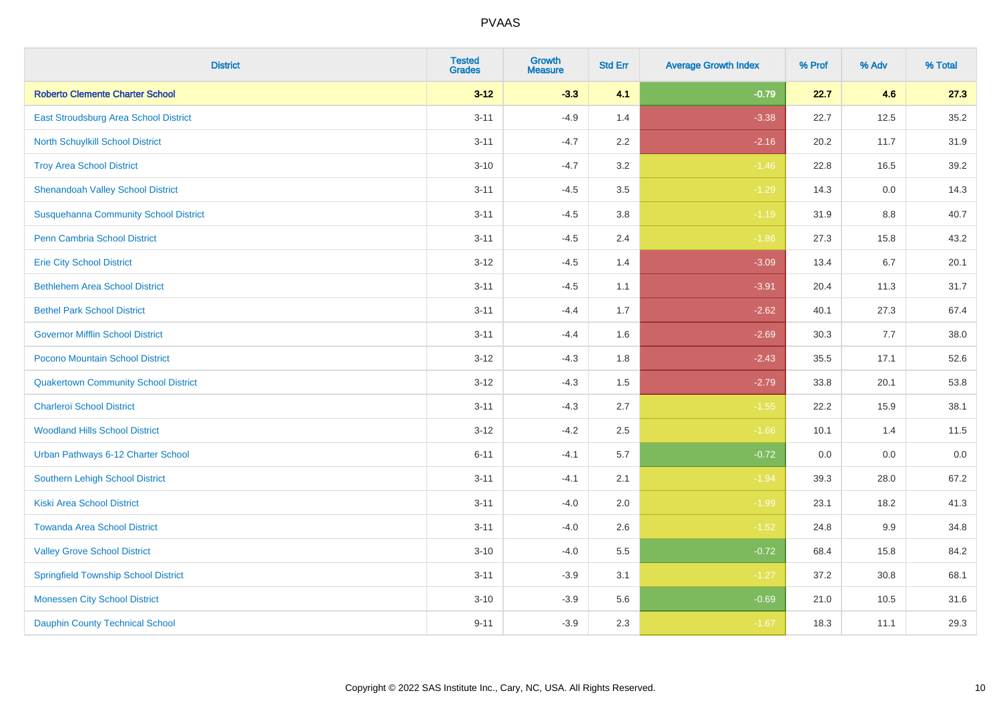| <b>District</b>                              | <b>Tested</b><br><b>Grades</b> | <b>Growth</b><br><b>Measure</b> | <b>Std Err</b> | <b>Average Growth Index</b> | % Prof | % Adv | % Total |
|----------------------------------------------|--------------------------------|---------------------------------|----------------|-----------------------------|--------|-------|---------|
| <b>Roberto Clemente Charter School</b>       | $3 - 12$                       | $-3.3$                          | 4.1            | $-0.79$                     | 22.7   | 4.6   | 27.3    |
| East Stroudsburg Area School District        | $3 - 11$                       | $-4.9$                          | 1.4            | $-3.38$                     | 22.7   | 12.5  | 35.2    |
| North Schuylkill School District             | $3 - 11$                       | $-4.7$                          | 2.2            | $-2.16$                     | 20.2   | 11.7  | 31.9    |
| <b>Troy Area School District</b>             | $3 - 10$                       | $-4.7$                          | 3.2            | $-1.46$                     | 22.8   | 16.5  | 39.2    |
| <b>Shenandoah Valley School District</b>     | $3 - 11$                       | $-4.5$                          | 3.5            | $-1.29$                     | 14.3   | 0.0   | 14.3    |
| <b>Susquehanna Community School District</b> | $3 - 11$                       | $-4.5$                          | 3.8            | $-1.19$                     | 31.9   | 8.8   | 40.7    |
| Penn Cambria School District                 | $3 - 11$                       | $-4.5$                          | 2.4            | $-1.86$                     | 27.3   | 15.8  | 43.2    |
| <b>Erie City School District</b>             | $3 - 12$                       | $-4.5$                          | 1.4            | $-3.09$                     | 13.4   | 6.7   | 20.1    |
| <b>Bethlehem Area School District</b>        | $3 - 11$                       | $-4.5$                          | 1.1            | $-3.91$                     | 20.4   | 11.3  | 31.7    |
| <b>Bethel Park School District</b>           | $3 - 11$                       | $-4.4$                          | 1.7            | $-2.62$                     | 40.1   | 27.3  | 67.4    |
| <b>Governor Mifflin School District</b>      | $3 - 11$                       | $-4.4$                          | 1.6            | $-2.69$                     | 30.3   | 7.7   | 38.0    |
| Pocono Mountain School District              | $3 - 12$                       | $-4.3$                          | 1.8            | $-2.43$                     | 35.5   | 17.1  | 52.6    |
| <b>Quakertown Community School District</b>  | $3 - 12$                       | $-4.3$                          | $1.5$          | $-2.79$                     | 33.8   | 20.1  | 53.8    |
| <b>Charleroi School District</b>             | $3 - 11$                       | $-4.3$                          | 2.7            | $-1.55$                     | 22.2   | 15.9  | 38.1    |
| <b>Woodland Hills School District</b>        | $3 - 12$                       | $-4.2$                          | 2.5            | $-1.66$                     | 10.1   | 1.4   | 11.5    |
| Urban Pathways 6-12 Charter School           | $6 - 11$                       | $-4.1$                          | 5.7            | $-0.72$                     | 0.0    | 0.0   | $0.0\,$ |
| Southern Lehigh School District              | $3 - 11$                       | $-4.1$                          | 2.1            | $-1.94$                     | 39.3   | 28.0  | 67.2    |
| <b>Kiski Area School District</b>            | $3 - 11$                       | $-4.0$                          | 2.0            | $-1.99$                     | 23.1   | 18.2  | 41.3    |
| <b>Towanda Area School District</b>          | $3 - 11$                       | $-4.0$                          | 2.6            | $-1.52$                     | 24.8   | 9.9   | 34.8    |
| <b>Valley Grove School District</b>          | $3 - 10$                       | $-4.0$                          | 5.5            | $-0.72$                     | 68.4   | 15.8  | 84.2    |
| <b>Springfield Township School District</b>  | $3 - 11$                       | $-3.9$                          | 3.1            | $-1.27$                     | 37.2   | 30.8  | 68.1    |
| <b>Monessen City School District</b>         | $3 - 10$                       | $-3.9$                          | 5.6            | $-0.69$                     | 21.0   | 10.5  | 31.6    |
| <b>Dauphin County Technical School</b>       | $9 - 11$                       | $-3.9$                          | 2.3            | $-1.67$                     | 18.3   | 11.1  | 29.3    |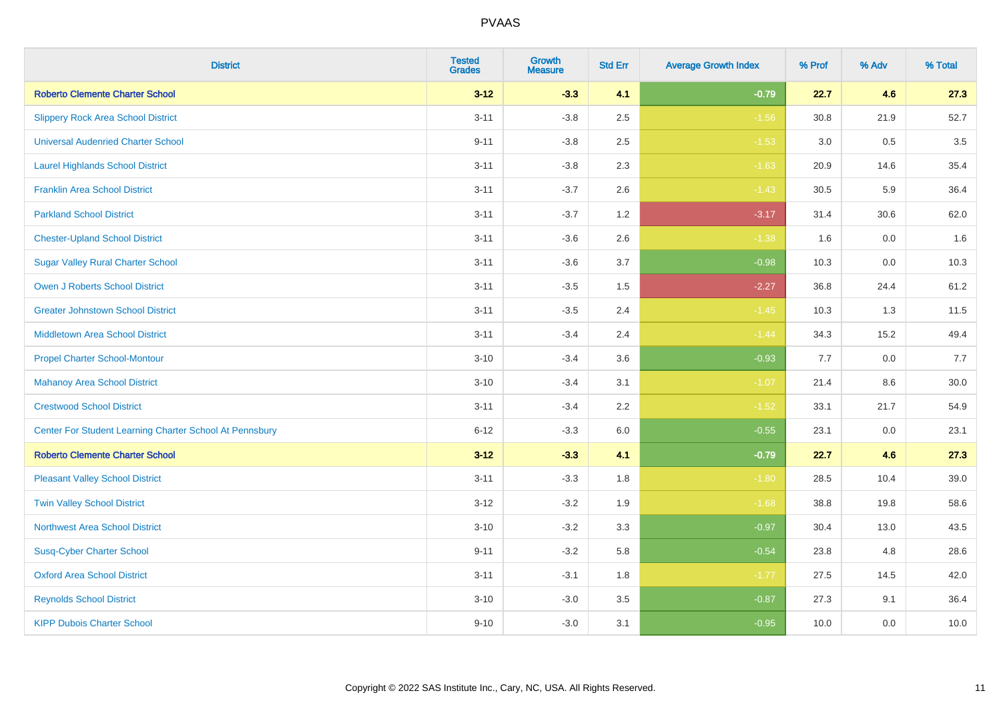| <b>District</b>                                         | <b>Tested</b><br><b>Grades</b> | <b>Growth</b><br><b>Measure</b> | <b>Std Err</b> | <b>Average Growth Index</b> | % Prof | % Adv   | % Total |
|---------------------------------------------------------|--------------------------------|---------------------------------|----------------|-----------------------------|--------|---------|---------|
| <b>Roberto Clemente Charter School</b>                  | $3 - 12$                       | $-3.3$                          | 4.1            | $-0.79$                     | 22.7   | 4.6     | 27.3    |
| <b>Slippery Rock Area School District</b>               | $3 - 11$                       | $-3.8$                          | 2.5            | $-1.56$                     | 30.8   | 21.9    | 52.7    |
| <b>Universal Audenried Charter School</b>               | $9 - 11$                       | $-3.8$                          | 2.5            | $-1.53$                     | 3.0    | 0.5     | 3.5     |
| <b>Laurel Highlands School District</b>                 | $3 - 11$                       | $-3.8$                          | 2.3            | $-1.63$                     | 20.9   | 14.6    | 35.4    |
| <b>Franklin Area School District</b>                    | $3 - 11$                       | $-3.7$                          | 2.6            | $-1.43$                     | 30.5   | 5.9     | 36.4    |
| <b>Parkland School District</b>                         | $3 - 11$                       | $-3.7$                          | 1.2            | $-3.17$                     | 31.4   | 30.6    | 62.0    |
| <b>Chester-Upland School District</b>                   | $3 - 11$                       | $-3.6$                          | 2.6            | $-1.38$                     | 1.6    | $0.0\,$ | 1.6     |
| <b>Sugar Valley Rural Charter School</b>                | $3 - 11$                       | $-3.6$                          | 3.7            | $-0.98$                     | 10.3   | 0.0     | 10.3    |
| <b>Owen J Roberts School District</b>                   | $3 - 11$                       | $-3.5$                          | 1.5            | $-2.27$                     | 36.8   | 24.4    | 61.2    |
| <b>Greater Johnstown School District</b>                | $3 - 11$                       | $-3.5$                          | 2.4            | $-1.45$                     | 10.3   | 1.3     | 11.5    |
| <b>Middletown Area School District</b>                  | $3 - 11$                       | $-3.4$                          | 2.4            | $-1.44$                     | 34.3   | 15.2    | 49.4    |
| <b>Propel Charter School-Montour</b>                    | $3 - 10$                       | $-3.4$                          | 3.6            | $-0.93$                     | 7.7    | 0.0     | 7.7     |
| <b>Mahanoy Area School District</b>                     | $3 - 10$                       | $-3.4$                          | 3.1            | $-1.07$                     | 21.4   | 8.6     | 30.0    |
| <b>Crestwood School District</b>                        | $3 - 11$                       | $-3.4$                          | 2.2            | $-1.52$                     | 33.1   | 21.7    | 54.9    |
| Center For Student Learning Charter School At Pennsbury | $6 - 12$                       | $-3.3$                          | 6.0            | $-0.55$                     | 23.1   | 0.0     | 23.1    |
| <b>Roberto Clemente Charter School</b>                  | $3 - 12$                       | $-3.3$                          | 4.1            | $-0.79$                     | 22.7   | 4.6     | 27.3    |
| <b>Pleasant Valley School District</b>                  | $3 - 11$                       | $-3.3$                          | 1.8            | $-1.80$                     | 28.5   | 10.4    | 39.0    |
| <b>Twin Valley School District</b>                      | $3 - 12$                       | $-3.2$                          | 1.9            | $-1.68$                     | 38.8   | 19.8    | 58.6    |
| <b>Northwest Area School District</b>                   | $3 - 10$                       | $-3.2$                          | 3.3            | $-0.97$                     | 30.4   | 13.0    | 43.5    |
| <b>Susq-Cyber Charter School</b>                        | $9 - 11$                       | $-3.2$                          | 5.8            | $-0.54$                     | 23.8   | 4.8     | 28.6    |
| <b>Oxford Area School District</b>                      | $3 - 11$                       | $-3.1$                          | 1.8            | $-1.77$                     | 27.5   | 14.5    | 42.0    |
| <b>Reynolds School District</b>                         | $3 - 10$                       | $-3.0$                          | 3.5            | $-0.87$                     | 27.3   | 9.1     | 36.4    |
| <b>KIPP Dubois Charter School</b>                       | $9 - 10$                       | $-3.0$                          | 3.1            | $-0.95$                     | 10.0   | 0.0     | 10.0    |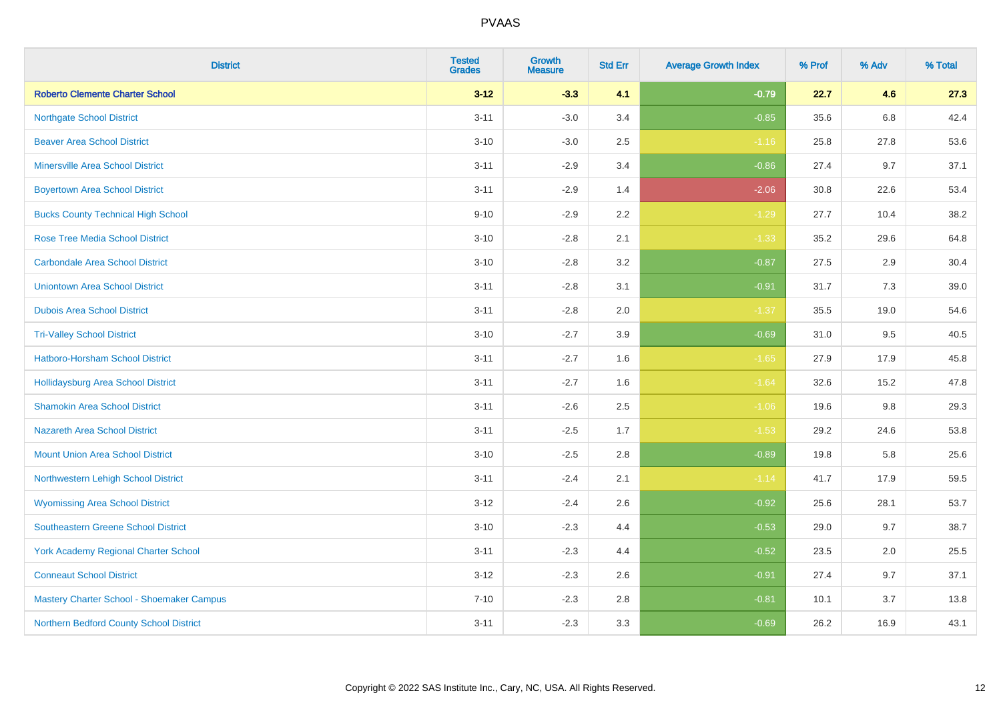| <b>District</b>                             | <b>Tested</b><br><b>Grades</b> | <b>Growth</b><br><b>Measure</b> | <b>Std Err</b> | <b>Average Growth Index</b> | % Prof | % Adv | % Total |
|---------------------------------------------|--------------------------------|---------------------------------|----------------|-----------------------------|--------|-------|---------|
| <b>Roberto Clemente Charter School</b>      | $3 - 12$                       | $-3.3$                          | 4.1            | $-0.79$                     | 22.7   | 4.6   | 27.3    |
| <b>Northgate School District</b>            | $3 - 11$                       | $-3.0$                          | 3.4            | $-0.85$                     | 35.6   | 6.8   | 42.4    |
| <b>Beaver Area School District</b>          | $3 - 10$                       | $-3.0$                          | 2.5            | $-1.16$                     | 25.8   | 27.8  | 53.6    |
| <b>Minersville Area School District</b>     | $3 - 11$                       | $-2.9$                          | 3.4            | $-0.86$                     | 27.4   | 9.7   | 37.1    |
| <b>Boyertown Area School District</b>       | $3 - 11$                       | $-2.9$                          | 1.4            | $-2.06$                     | 30.8   | 22.6  | 53.4    |
| <b>Bucks County Technical High School</b>   | $9 - 10$                       | $-2.9$                          | 2.2            | $-1.29$                     | 27.7   | 10.4  | 38.2    |
| <b>Rose Tree Media School District</b>      | $3 - 10$                       | $-2.8$                          | 2.1            | $-1.33$                     | 35.2   | 29.6  | 64.8    |
| <b>Carbondale Area School District</b>      | $3 - 10$                       | $-2.8$                          | 3.2            | $-0.87$                     | 27.5   | 2.9   | 30.4    |
| <b>Uniontown Area School District</b>       | $3 - 11$                       | $-2.8$                          | 3.1            | $-0.91$                     | 31.7   | 7.3   | 39.0    |
| <b>Dubois Area School District</b>          | $3 - 11$                       | $-2.8$                          | 2.0            | $-1.37$                     | 35.5   | 19.0  | 54.6    |
| <b>Tri-Valley School District</b>           | $3 - 10$                       | $-2.7$                          | 3.9            | $-0.69$                     | 31.0   | 9.5   | 40.5    |
| Hatboro-Horsham School District             | $3 - 11$                       | $-2.7$                          | 1.6            | $-1.65$                     | 27.9   | 17.9  | 45.8    |
| Hollidaysburg Area School District          | $3 - 11$                       | $-2.7$                          | 1.6            | $-1.64$                     | 32.6   | 15.2  | 47.8    |
| <b>Shamokin Area School District</b>        | $3 - 11$                       | $-2.6$                          | 2.5            | $-1.06$                     | 19.6   | 9.8   | 29.3    |
| <b>Nazareth Area School District</b>        | $3 - 11$                       | $-2.5$                          | 1.7            | $-1.53$                     | 29.2   | 24.6  | 53.8    |
| <b>Mount Union Area School District</b>     | $3 - 10$                       | $-2.5$                          | 2.8            | $-0.89$                     | 19.8   | 5.8   | 25.6    |
| Northwestern Lehigh School District         | $3 - 11$                       | $-2.4$                          | 2.1            | $-1.14$                     | 41.7   | 17.9  | 59.5    |
| <b>Wyomissing Area School District</b>      | $3-12$                         | $-2.4$                          | 2.6            | $-0.92$                     | 25.6   | 28.1  | 53.7    |
| <b>Southeastern Greene School District</b>  | $3 - 10$                       | $-2.3$                          | 4.4            | $-0.53$                     | 29.0   | 9.7   | 38.7    |
| <b>York Academy Regional Charter School</b> | $3 - 11$                       | $-2.3$                          | 4.4            | $-0.52$                     | 23.5   | 2.0   | 25.5    |
| <b>Conneaut School District</b>             | $3 - 12$                       | $-2.3$                          | 2.6            | $-0.91$                     | 27.4   | 9.7   | 37.1    |
| Mastery Charter School - Shoemaker Campus   | $7 - 10$                       | $-2.3$                          | 2.8            | $-0.81$                     | 10.1   | 3.7   | 13.8    |
| Northern Bedford County School District     | $3 - 11$                       | $-2.3$                          | 3.3            | $-0.69$                     | 26.2   | 16.9  | 43.1    |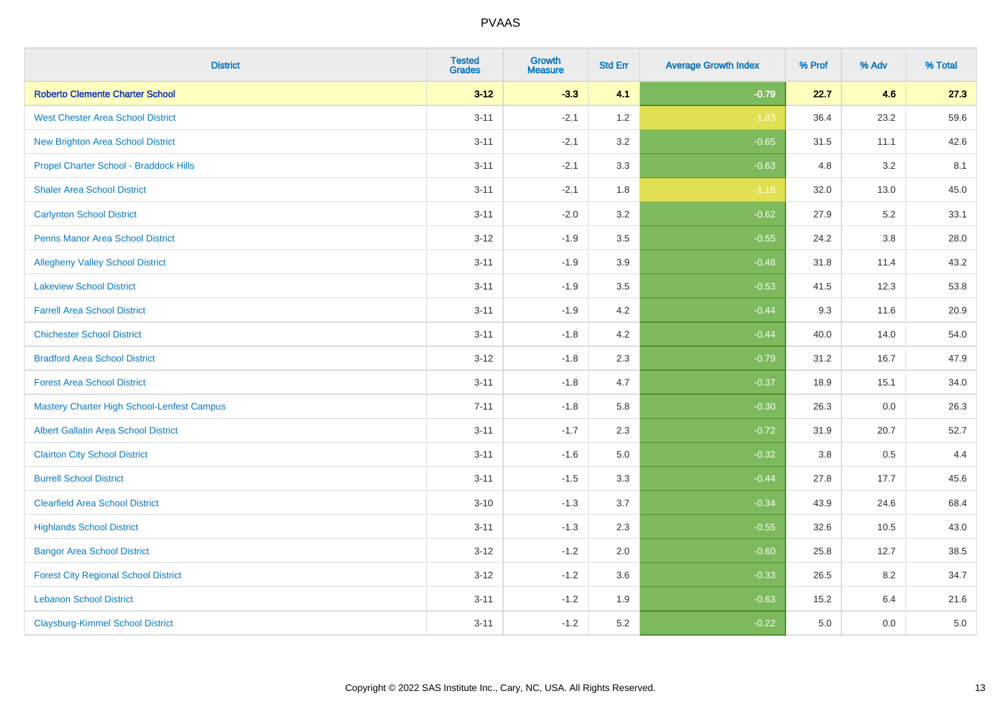| <b>District</b>                                   | <b>Tested</b><br><b>Grades</b> | <b>Growth</b><br><b>Measure</b> | <b>Std Err</b> | <b>Average Growth Index</b> | % Prof | % Adv   | % Total |
|---------------------------------------------------|--------------------------------|---------------------------------|----------------|-----------------------------|--------|---------|---------|
| <b>Roberto Clemente Charter School</b>            | $3 - 12$                       | $-3.3$                          | 4.1            | $-0.79$                     | 22.7   | 4.6     | 27.3    |
| <b>West Chester Area School District</b>          | $3 - 11$                       | $-2.1$                          | 1.2            | $-1.83$                     | 36.4   | 23.2    | 59.6    |
| <b>New Brighton Area School District</b>          | $3 - 11$                       | $-2.1$                          | 3.2            | $-0.65$                     | 31.5   | 11.1    | 42.6    |
| Propel Charter School - Braddock Hills            | $3 - 11$                       | $-2.1$                          | 3.3            | $-0.63$                     | 4.8    | 3.2     | 8.1     |
| <b>Shaler Area School District</b>                | $3 - 11$                       | $-2.1$                          | 1.8            | $-1.18$                     | 32.0   | 13.0    | 45.0    |
| <b>Carlynton School District</b>                  | $3 - 11$                       | $-2.0$                          | 3.2            | $-0.62$                     | 27.9   | 5.2     | 33.1    |
| Penns Manor Area School District                  | $3 - 12$                       | $-1.9$                          | 3.5            | $-0.55$                     | 24.2   | 3.8     | 28.0    |
| <b>Allegheny Valley School District</b>           | $3 - 11$                       | $-1.9$                          | 3.9            | $-0.48$                     | 31.8   | 11.4    | 43.2    |
| <b>Lakeview School District</b>                   | $3 - 11$                       | $-1.9$                          | 3.5            | $-0.53$                     | 41.5   | 12.3    | 53.8    |
| <b>Farrell Area School District</b>               | $3 - 11$                       | $-1.9$                          | 4.2            | $-0.44$                     | 9.3    | 11.6    | 20.9    |
| <b>Chichester School District</b>                 | $3 - 11$                       | $-1.8$                          | 4.2            | $-0.44$                     | 40.0   | 14.0    | 54.0    |
| <b>Bradford Area School District</b>              | $3 - 12$                       | $-1.8$                          | 2.3            | $-0.79$                     | 31.2   | 16.7    | 47.9    |
| <b>Forest Area School District</b>                | $3 - 11$                       | $-1.8$                          | 4.7            | $-0.37$                     | 18.9   | 15.1    | 34.0    |
| <b>Mastery Charter High School-Lenfest Campus</b> | $7 - 11$                       | $-1.8$                          | 5.8            | $-0.30$                     | 26.3   | 0.0     | 26.3    |
| <b>Albert Gallatin Area School District</b>       | $3 - 11$                       | $-1.7$                          | 2.3            | $-0.72$                     | 31.9   | 20.7    | 52.7    |
| <b>Clairton City School District</b>              | $3 - 11$                       | $-1.6$                          | 5.0            | $-0.32$                     | 3.8    | $0.5\,$ | 4.4     |
| <b>Burrell School District</b>                    | $3 - 11$                       | $-1.5$                          | 3.3            | $-0.44$                     | 27.8   | 17.7    | 45.6    |
| <b>Clearfield Area School District</b>            | $3 - 10$                       | $-1.3$                          | 3.7            | $-0.34$                     | 43.9   | 24.6    | 68.4    |
| <b>Highlands School District</b>                  | $3 - 11$                       | $-1.3$                          | 2.3            | $-0.55$                     | 32.6   | 10.5    | 43.0    |
| <b>Bangor Area School District</b>                | $3 - 12$                       | $-1.2$                          | 2.0            | $-0.60$                     | 25.8   | 12.7    | 38.5    |
| <b>Forest City Regional School District</b>       | $3 - 12$                       | $-1.2$                          | 3.6            | $-0.33$                     | 26.5   | 8.2     | 34.7    |
| <b>Lebanon School District</b>                    | $3 - 11$                       | $-1.2$                          | 1.9            | $-0.63$                     | 15.2   | 6.4     | 21.6    |
| <b>Claysburg-Kimmel School District</b>           | $3 - 11$                       | $-1.2$                          | 5.2            | $-0.22$                     | 5.0    | 0.0     | 5.0     |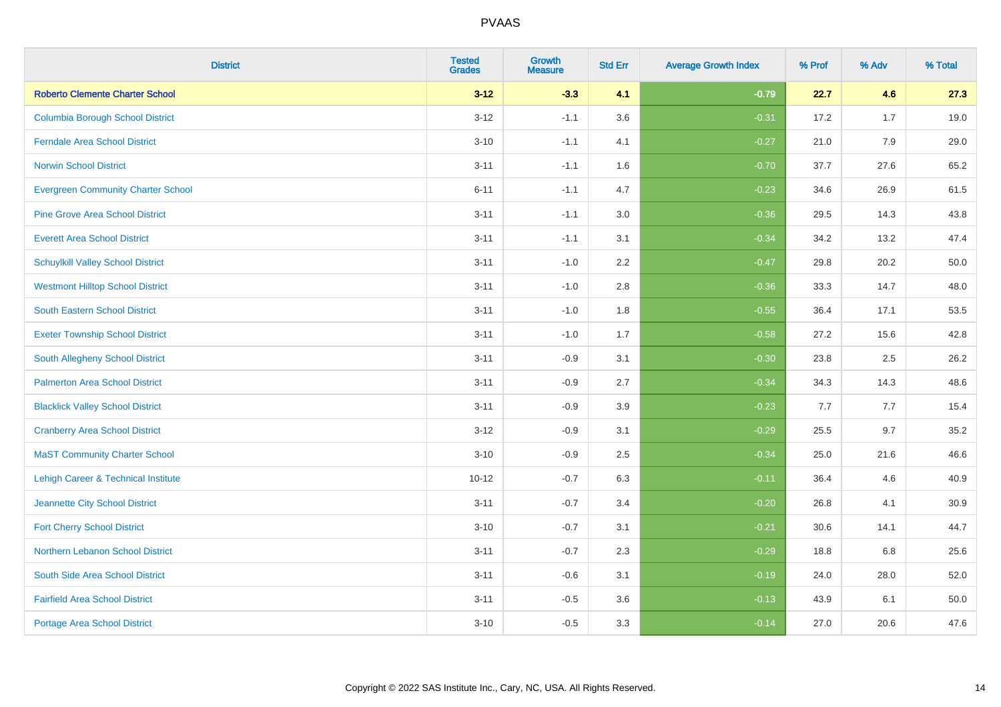| <b>District</b>                           | <b>Tested</b><br><b>Grades</b> | <b>Growth</b><br><b>Measure</b> | <b>Std Err</b> | <b>Average Growth Index</b> | % Prof | % Adv | % Total |
|-------------------------------------------|--------------------------------|---------------------------------|----------------|-----------------------------|--------|-------|---------|
| <b>Roberto Clemente Charter School</b>    | $3 - 12$                       | $-3.3$                          | 4.1            | $-0.79$                     | 22.7   | 4.6   | 27.3    |
| <b>Columbia Borough School District</b>   | $3 - 12$                       | $-1.1$                          | 3.6            | $-0.31$                     | 17.2   | 1.7   | 19.0    |
| <b>Ferndale Area School District</b>      | $3 - 10$                       | $-1.1$                          | 4.1            | $-0.27$                     | 21.0   | 7.9   | 29.0    |
| <b>Norwin School District</b>             | $3 - 11$                       | $-1.1$                          | 1.6            | $-0.70$                     | 37.7   | 27.6  | 65.2    |
| <b>Evergreen Community Charter School</b> | $6 - 11$                       | $-1.1$                          | 4.7            | $-0.23$                     | 34.6   | 26.9  | 61.5    |
| <b>Pine Grove Area School District</b>    | $3 - 11$                       | $-1.1$                          | 3.0            | $-0.36$                     | 29.5   | 14.3  | 43.8    |
| <b>Everett Area School District</b>       | $3 - 11$                       | $-1.1$                          | 3.1            | $-0.34$                     | 34.2   | 13.2  | 47.4    |
| <b>Schuylkill Valley School District</b>  | $3 - 11$                       | $-1.0$                          | 2.2            | $-0.47$                     | 29.8   | 20.2  | 50.0    |
| <b>Westmont Hilltop School District</b>   | $3 - 11$                       | $-1.0$                          | 2.8            | $-0.36$                     | 33.3   | 14.7  | 48.0    |
| South Eastern School District             | $3 - 11$                       | $-1.0$                          | 1.8            | $-0.55$                     | 36.4   | 17.1  | 53.5    |
| <b>Exeter Township School District</b>    | $3 - 11$                       | $-1.0$                          | 1.7            | $-0.58$                     | 27.2   | 15.6  | 42.8    |
| South Allegheny School District           | $3 - 11$                       | $-0.9$                          | 3.1            | $-0.30$                     | 23.8   | 2.5   | 26.2    |
| <b>Palmerton Area School District</b>     | $3 - 11$                       | $-0.9$                          | 2.7            | $-0.34$                     | 34.3   | 14.3  | 48.6    |
| <b>Blacklick Valley School District</b>   | $3 - 11$                       | $-0.9$                          | 3.9            | $-0.23$                     | 7.7    | 7.7   | 15.4    |
| <b>Cranberry Area School District</b>     | $3 - 12$                       | $-0.9$                          | 3.1            | $-0.29$                     | 25.5   | 9.7   | 35.2    |
| <b>MaST Community Charter School</b>      | $3 - 10$                       | $-0.9$                          | 2.5            | $-0.34$                     | 25.0   | 21.6  | 46.6    |
| Lehigh Career & Technical Institute       | $10 - 12$                      | $-0.7$                          | 6.3            | $-0.11$                     | 36.4   | 4.6   | 40.9    |
| Jeannette City School District            | $3 - 11$                       | $-0.7$                          | 3.4            | $-0.20$                     | 26.8   | 4.1   | 30.9    |
| <b>Fort Cherry School District</b>        | $3 - 10$                       | $-0.7$                          | 3.1            | $-0.21$                     | 30.6   | 14.1  | 44.7    |
| Northern Lebanon School District          | $3 - 11$                       | $-0.7$                          | 2.3            | $-0.29$                     | 18.8   | 6.8   | 25.6    |
| South Side Area School District           | $3 - 11$                       | $-0.6$                          | 3.1            | $-0.19$                     | 24.0   | 28.0  | 52.0    |
| <b>Fairfield Area School District</b>     | $3 - 11$                       | $-0.5$                          | 3.6            | $-0.13$                     | 43.9   | 6.1   | 50.0    |
| <b>Portage Area School District</b>       | $3 - 10$                       | $-0.5$                          | 3.3            | $-0.14$                     | 27.0   | 20.6  | 47.6    |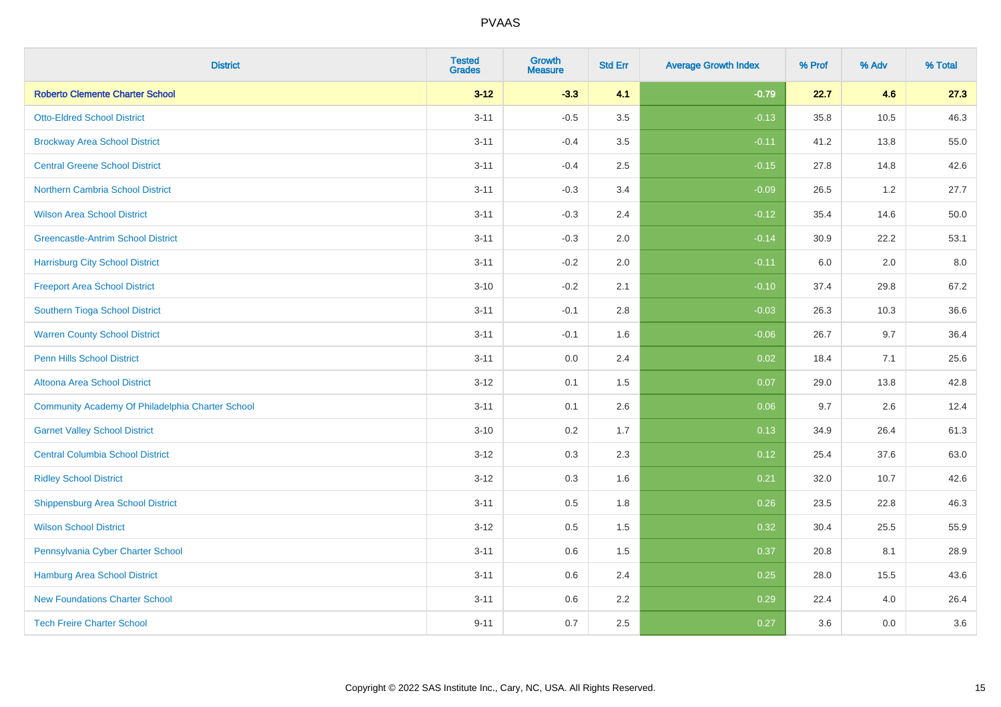| <b>District</b>                                  | <b>Tested</b><br><b>Grades</b> | <b>Growth</b><br><b>Measure</b> | <b>Std Err</b> | <b>Average Growth Index</b> | % Prof | % Adv | % Total |
|--------------------------------------------------|--------------------------------|---------------------------------|----------------|-----------------------------|--------|-------|---------|
| <b>Roberto Clemente Charter School</b>           | $3 - 12$                       | $-3.3$                          | 4.1            | $-0.79$                     | 22.7   | 4.6   | 27.3    |
| <b>Otto-Eldred School District</b>               | $3 - 11$                       | $-0.5$                          | 3.5            | $-0.13$                     | 35.8   | 10.5  | 46.3    |
| <b>Brockway Area School District</b>             | $3 - 11$                       | $-0.4$                          | 3.5            | $-0.11$                     | 41.2   | 13.8  | 55.0    |
| <b>Central Greene School District</b>            | $3 - 11$                       | $-0.4$                          | 2.5            | $-0.15$                     | 27.8   | 14.8  | 42.6    |
| <b>Northern Cambria School District</b>          | $3 - 11$                       | $-0.3$                          | 3.4            | $-0.09$                     | 26.5   | 1.2   | 27.7    |
| <b>Wilson Area School District</b>               | $3 - 11$                       | $-0.3$                          | 2.4            | $-0.12$                     | 35.4   | 14.6  | 50.0    |
| <b>Greencastle-Antrim School District</b>        | $3 - 11$                       | $-0.3$                          | 2.0            | $-0.14$                     | 30.9   | 22.2  | 53.1    |
| <b>Harrisburg City School District</b>           | $3 - 11$                       | $-0.2$                          | 2.0            | $-0.11$                     | 6.0    | 2.0   | 8.0     |
| <b>Freeport Area School District</b>             | $3 - 10$                       | $-0.2$                          | 2.1            | $-0.10$                     | 37.4   | 29.8  | 67.2    |
| Southern Tioga School District                   | $3 - 11$                       | $-0.1$                          | 2.8            | $-0.03$                     | 26.3   | 10.3  | 36.6    |
| <b>Warren County School District</b>             | $3 - 11$                       | $-0.1$                          | 1.6            | $-0.06$                     | 26.7   | 9.7   | 36.4    |
| <b>Penn Hills School District</b>                | $3 - 11$                       | 0.0                             | 2.4            | 0.02                        | 18.4   | 7.1   | 25.6    |
| Altoona Area School District                     | $3 - 12$                       | 0.1                             | 1.5            | 0.07                        | 29.0   | 13.8  | 42.8    |
| Community Academy Of Philadelphia Charter School | $3 - 11$                       | 0.1                             | 2.6            | 0.06                        | 9.7    | 2.6   | 12.4    |
| <b>Garnet Valley School District</b>             | $3 - 10$                       | 0.2                             | 1.7            | 0.13                        | 34.9   | 26.4  | 61.3    |
| <b>Central Columbia School District</b>          | $3 - 12$                       | 0.3                             | 2.3            | 0.12                        | 25.4   | 37.6  | 63.0    |
| <b>Ridley School District</b>                    | $3 - 12$                       | 0.3                             | 1.6            | 0.21                        | 32.0   | 10.7  | 42.6    |
| <b>Shippensburg Area School District</b>         | $3 - 11$                       | 0.5                             | 1.8            | 0.26                        | 23.5   | 22.8  | 46.3    |
| <b>Wilson School District</b>                    | $3 - 12$                       | 0.5                             | 1.5            | 0.32                        | 30.4   | 25.5  | 55.9    |
| Pennsylvania Cyber Charter School                | $3 - 11$                       | 0.6                             | 1.5            | 0.37                        | 20.8   | 8.1   | 28.9    |
| <b>Hamburg Area School District</b>              | $3 - 11$                       | 0.6                             | 2.4            | 0.25                        | 28.0   | 15.5  | 43.6    |
| <b>New Foundations Charter School</b>            | $3 - 11$                       | 0.6                             | 2.2            | 0.29                        | 22.4   | 4.0   | 26.4    |
| <b>Tech Freire Charter School</b>                | $9 - 11$                       | 0.7                             | 2.5            | 0.27                        | 3.6    | 0.0   | 3.6     |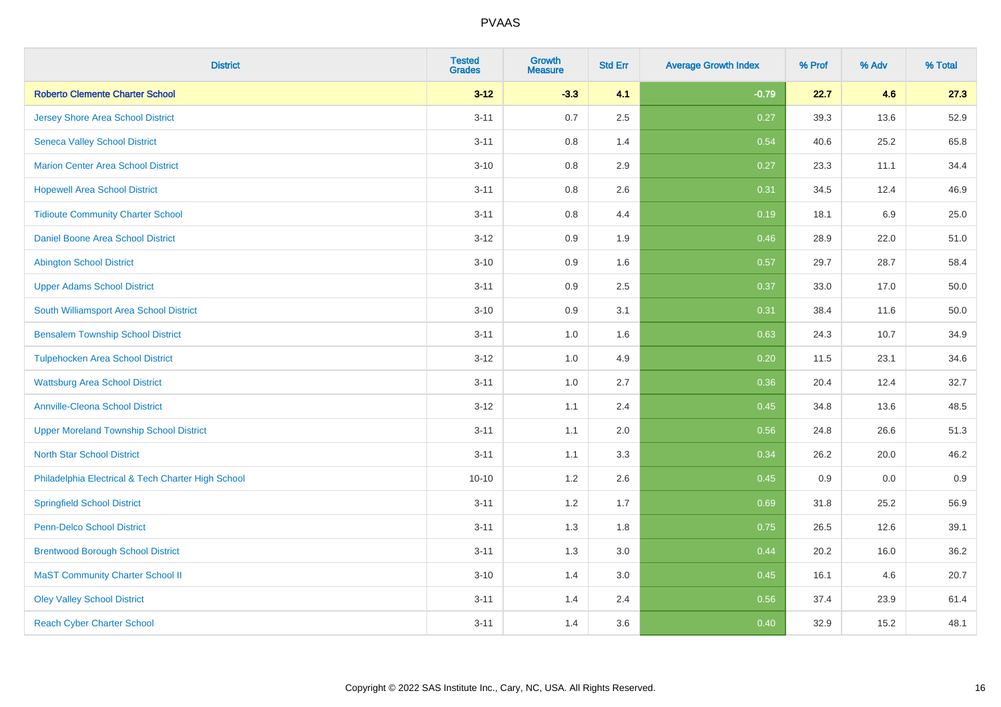| <b>District</b>                                    | <b>Tested</b><br><b>Grades</b> | <b>Growth</b><br><b>Measure</b> | <b>Std Err</b> | <b>Average Growth Index</b> | % Prof | % Adv | % Total |
|----------------------------------------------------|--------------------------------|---------------------------------|----------------|-----------------------------|--------|-------|---------|
| <b>Roberto Clemente Charter School</b>             | $3 - 12$                       | $-3.3$                          | 4.1            | $-0.79$                     | 22.7   | 4.6   | 27.3    |
| <b>Jersey Shore Area School District</b>           | $3 - 11$                       | 0.7                             | 2.5            | 0.27                        | 39.3   | 13.6  | 52.9    |
| <b>Seneca Valley School District</b>               | $3 - 11$                       | 0.8                             | 1.4            | 0.54                        | 40.6   | 25.2  | 65.8    |
| <b>Marion Center Area School District</b>          | $3 - 10$                       | 0.8                             | 2.9            | 0.27                        | 23.3   | 11.1  | 34.4    |
| <b>Hopewell Area School District</b>               | $3 - 11$                       | 0.8                             | 2.6            | 0.31                        | 34.5   | 12.4  | 46.9    |
| <b>Tidioute Community Charter School</b>           | $3 - 11$                       | 0.8                             | 4.4            | 0.19                        | 18.1   | 6.9   | 25.0    |
| Daniel Boone Area School District                  | $3 - 12$                       | 0.9                             | 1.9            | 0.46                        | 28.9   | 22.0  | 51.0    |
| <b>Abington School District</b>                    | $3 - 10$                       | 0.9                             | 1.6            | 0.57                        | 29.7   | 28.7  | 58.4    |
| <b>Upper Adams School District</b>                 | $3 - 11$                       | 0.9                             | 2.5            | 0.37                        | 33.0   | 17.0  | 50.0    |
| South Williamsport Area School District            | $3 - 10$                       | 0.9                             | 3.1            | 0.31                        | 38.4   | 11.6  | 50.0    |
| <b>Bensalem Township School District</b>           | $3 - 11$                       | 1.0                             | 1.6            | 0.63                        | 24.3   | 10.7  | 34.9    |
| <b>Tulpehocken Area School District</b>            | $3 - 12$                       | 1.0                             | 4.9            | 0.20                        | 11.5   | 23.1  | 34.6    |
| <b>Wattsburg Area School District</b>              | $3 - 11$                       | 1.0                             | 2.7            | 0.36                        | 20.4   | 12.4  | 32.7    |
| <b>Annville-Cleona School District</b>             | $3 - 12$                       | 1.1                             | 2.4            | 0.45                        | 34.8   | 13.6  | 48.5    |
| <b>Upper Moreland Township School District</b>     | $3 - 11$                       | 1.1                             | 2.0            | 0.56                        | 24.8   | 26.6  | 51.3    |
| <b>North Star School District</b>                  | $3 - 11$                       | 1.1                             | 3.3            | 0.34                        | 26.2   | 20.0  | 46.2    |
| Philadelphia Electrical & Tech Charter High School | $10 - 10$                      | $1.2\,$                         | 2.6            | 0.45                        | 0.9    | 0.0   | 0.9     |
| <b>Springfield School District</b>                 | $3 - 11$                       | 1.2                             | 1.7            | 0.69                        | 31.8   | 25.2  | 56.9    |
| <b>Penn-Delco School District</b>                  | $3 - 11$                       | 1.3                             | 1.8            | 0.75                        | 26.5   | 12.6  | 39.1    |
| <b>Brentwood Borough School District</b>           | $3 - 11$                       | 1.3                             | 3.0            | 0.44                        | 20.2   | 16.0  | 36.2    |
| <b>MaST Community Charter School II</b>            | $3 - 10$                       | 1.4                             | 3.0            | 0.45                        | 16.1   | 4.6   | 20.7    |
| <b>Oley Valley School District</b>                 | $3 - 11$                       | 1.4                             | 2.4            | 0.56                        | 37.4   | 23.9  | 61.4    |
| <b>Reach Cyber Charter School</b>                  | $3 - 11$                       | 1.4                             | 3.6            | 0.40                        | 32.9   | 15.2  | 48.1    |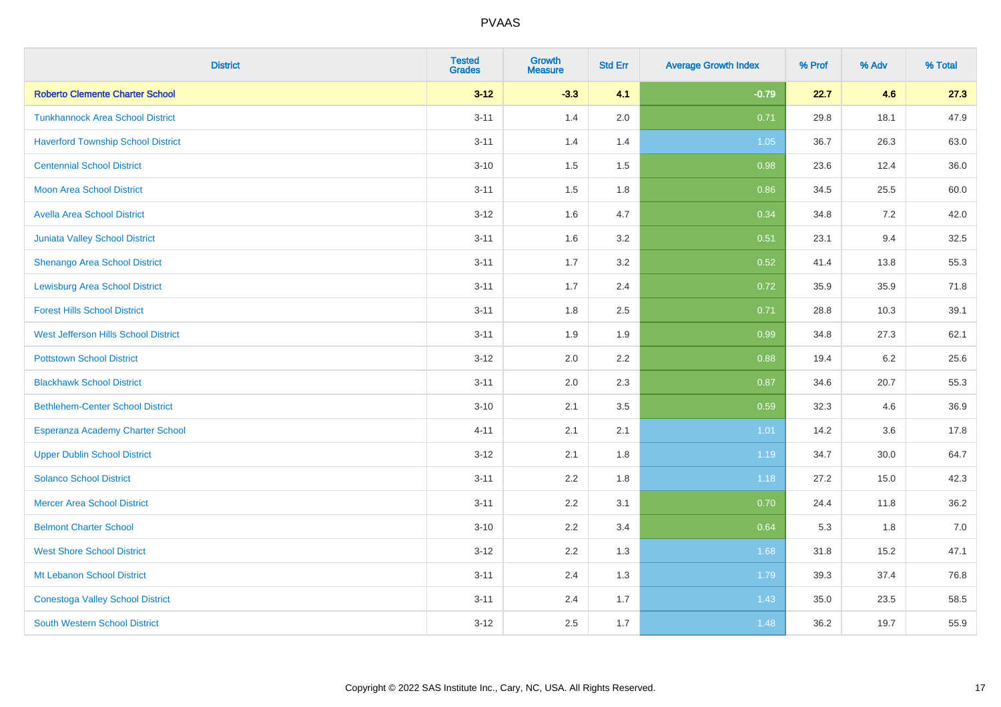| <b>District</b>                           | <b>Tested</b><br><b>Grades</b> | <b>Growth</b><br><b>Measure</b> | <b>Std Err</b> | <b>Average Growth Index</b> | % Prof | % Adv | % Total |
|-------------------------------------------|--------------------------------|---------------------------------|----------------|-----------------------------|--------|-------|---------|
| <b>Roberto Clemente Charter School</b>    | $3 - 12$                       | $-3.3$                          | 4.1            | $-0.79$                     | 22.7   | 4.6   | 27.3    |
| <b>Tunkhannock Area School District</b>   | $3 - 11$                       | 1.4                             | 2.0            | 0.71                        | 29.8   | 18.1  | 47.9    |
| <b>Haverford Township School District</b> | $3 - 11$                       | 1.4                             | 1.4            | 1.05                        | 36.7   | 26.3  | 63.0    |
| <b>Centennial School District</b>         | $3 - 10$                       | 1.5                             | 1.5            | 0.98                        | 23.6   | 12.4  | 36.0    |
| <b>Moon Area School District</b>          | $3 - 11$                       | 1.5                             | 1.8            | 0.86                        | 34.5   | 25.5  | 60.0    |
| <b>Avella Area School District</b>        | $3 - 12$                       | 1.6                             | 4.7            | 0.34                        | 34.8   | 7.2   | 42.0    |
| <b>Juniata Valley School District</b>     | $3 - 11$                       | 1.6                             | 3.2            | 0.51                        | 23.1   | 9.4   | 32.5    |
| <b>Shenango Area School District</b>      | $3 - 11$                       | 1.7                             | 3.2            | 0.52                        | 41.4   | 13.8  | 55.3    |
| <b>Lewisburg Area School District</b>     | $3 - 11$                       | 1.7                             | 2.4            | 0.72                        | 35.9   | 35.9  | 71.8    |
| <b>Forest Hills School District</b>       | $3 - 11$                       | 1.8                             | 2.5            | 0.71                        | 28.8   | 10.3  | 39.1    |
| West Jefferson Hills School District      | $3 - 11$                       | 1.9                             | 1.9            | 0.99                        | 34.8   | 27.3  | 62.1    |
| <b>Pottstown School District</b>          | $3 - 12$                       | 2.0                             | 2.2            | 0.88                        | 19.4   | 6.2   | 25.6    |
| <b>Blackhawk School District</b>          | $3 - 11$                       | 2.0                             | 2.3            | 0.87                        | 34.6   | 20.7  | 55.3    |
| <b>Bethlehem-Center School District</b>   | $3 - 10$                       | 2.1                             | 3.5            | 0.59                        | 32.3   | 4.6   | 36.9    |
| Esperanza Academy Charter School          | $4 - 11$                       | 2.1                             | 2.1            | 1.01                        | 14.2   | 3.6   | 17.8    |
| <b>Upper Dublin School District</b>       | $3-12$                         | 2.1                             | 1.8            | 1.19                        | 34.7   | 30.0  | 64.7    |
| <b>Solanco School District</b>            | $3 - 11$                       | 2.2                             | 1.8            | 1.18                        | 27.2   | 15.0  | 42.3    |
| <b>Mercer Area School District</b>        | $3 - 11$                       | 2.2                             | 3.1            | 0.70                        | 24.4   | 11.8  | 36.2    |
| <b>Belmont Charter School</b>             | $3 - 10$                       | 2.2                             | 3.4            | 0.64                        | 5.3    | 1.8   | $7.0$   |
| <b>West Shore School District</b>         | $3-12$                         | 2.2                             | 1.3            | 1.68                        | 31.8   | 15.2  | 47.1    |
| Mt Lebanon School District                | $3 - 11$                       | 2.4                             | 1.3            | 1.79                        | 39.3   | 37.4  | 76.8    |
| <b>Conestoga Valley School District</b>   | $3 - 11$                       | 2.4                             | 1.7            | 1.43                        | 35.0   | 23.5  | 58.5    |
| <b>South Western School District</b>      | $3-12$                         | 2.5                             | 1.7            | 1.48                        | 36.2   | 19.7  | 55.9    |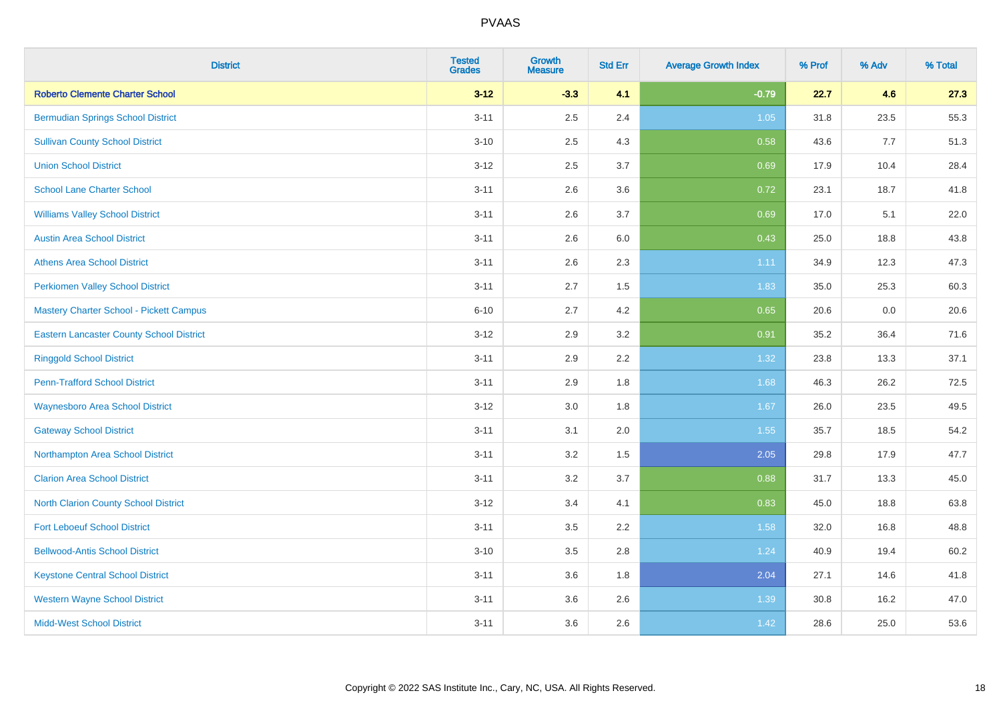| <b>District</b>                                 | <b>Tested</b><br><b>Grades</b> | <b>Growth</b><br><b>Measure</b> | <b>Std Err</b> | <b>Average Growth Index</b> | % Prof | % Adv | % Total |
|-------------------------------------------------|--------------------------------|---------------------------------|----------------|-----------------------------|--------|-------|---------|
| <b>Roberto Clemente Charter School</b>          | $3 - 12$                       | $-3.3$                          | 4.1            | $-0.79$                     | 22.7   | 4.6   | 27.3    |
| <b>Bermudian Springs School District</b>        | $3 - 11$                       | 2.5                             | 2.4            | $1.05$                      | 31.8   | 23.5  | 55.3    |
| <b>Sullivan County School District</b>          | $3 - 10$                       | 2.5                             | 4.3            | 0.58                        | 43.6   | 7.7   | 51.3    |
| <b>Union School District</b>                    | $3 - 12$                       | 2.5                             | 3.7            | 0.69                        | 17.9   | 10.4  | 28.4    |
| <b>School Lane Charter School</b>               | $3 - 11$                       | 2.6                             | 3.6            | 0.72                        | 23.1   | 18.7  | 41.8    |
| <b>Williams Valley School District</b>          | $3 - 11$                       | 2.6                             | 3.7            | 0.69                        | 17.0   | 5.1   | 22.0    |
| <b>Austin Area School District</b>              | $3 - 11$                       | 2.6                             | 6.0            | 0.43                        | 25.0   | 18.8  | 43.8    |
| <b>Athens Area School District</b>              | $3 - 11$                       | 2.6                             | 2.3            | 1.11                        | 34.9   | 12.3  | 47.3    |
| <b>Perkiomen Valley School District</b>         | $3 - 11$                       | 2.7                             | 1.5            | 1.83                        | 35.0   | 25.3  | 60.3    |
| Mastery Charter School - Pickett Campus         | $6 - 10$                       | 2.7                             | 4.2            | 0.65                        | 20.6   | 0.0   | 20.6    |
| <b>Eastern Lancaster County School District</b> | $3 - 12$                       | 2.9                             | 3.2            | 0.91                        | 35.2   | 36.4  | 71.6    |
| <b>Ringgold School District</b>                 | $3 - 11$                       | 2.9                             | 2.2            | 1.32                        | 23.8   | 13.3  | 37.1    |
| <b>Penn-Trafford School District</b>            | $3 - 11$                       | 2.9                             | 1.8            | 1.68                        | 46.3   | 26.2  | 72.5    |
| <b>Waynesboro Area School District</b>          | $3 - 12$                       | 3.0                             | 1.8            | 1.67                        | 26.0   | 23.5  | 49.5    |
| <b>Gateway School District</b>                  | $3 - 11$                       | 3.1                             | 2.0            | 1.55                        | 35.7   | 18.5  | 54.2    |
| Northampton Area School District                | $3 - 11$                       | 3.2                             | 1.5            | 2.05                        | 29.8   | 17.9  | 47.7    |
| <b>Clarion Area School District</b>             | $3 - 11$                       | 3.2                             | 3.7            | 0.88                        | 31.7   | 13.3  | 45.0    |
| North Clarion County School District            | $3-12$                         | 3.4                             | 4.1            | 0.83                        | 45.0   | 18.8  | 63.8    |
| <b>Fort Leboeuf School District</b>             | $3 - 11$                       | 3.5                             | 2.2            | 1.58                        | 32.0   | 16.8  | 48.8    |
| <b>Bellwood-Antis School District</b>           | $3 - 10$                       | 3.5                             | 2.8            | 1.24                        | 40.9   | 19.4  | 60.2    |
| <b>Keystone Central School District</b>         | $3 - 11$                       | 3.6                             | 1.8            | 2.04                        | 27.1   | 14.6  | 41.8    |
| <b>Western Wayne School District</b>            | $3 - 11$                       | 3.6                             | 2.6            | 1.39                        | 30.8   | 16.2  | 47.0    |
| <b>Midd-West School District</b>                | $3 - 11$                       | 3.6                             | 2.6            | 1.42                        | 28.6   | 25.0  | 53.6    |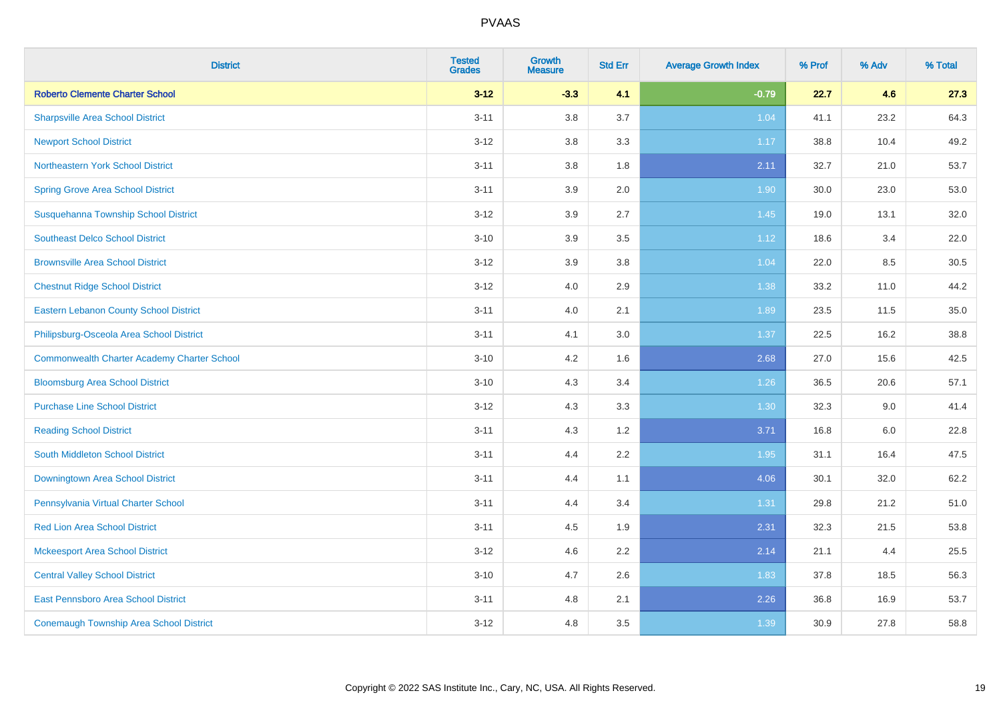| <b>District</b>                                    | <b>Tested</b><br><b>Grades</b> | <b>Growth</b><br><b>Measure</b> | <b>Std Err</b> | <b>Average Growth Index</b> | % Prof | % Adv | % Total |
|----------------------------------------------------|--------------------------------|---------------------------------|----------------|-----------------------------|--------|-------|---------|
| <b>Roberto Clemente Charter School</b>             | $3 - 12$                       | $-3.3$                          | 4.1            | $-0.79$                     | 22.7   | 4.6   | 27.3    |
| <b>Sharpsville Area School District</b>            | $3 - 11$                       | 3.8                             | 3.7            | 1.04                        | 41.1   | 23.2  | 64.3    |
| <b>Newport School District</b>                     | $3 - 12$                       | 3.8                             | 3.3            | 1.17                        | 38.8   | 10.4  | 49.2    |
| Northeastern York School District                  | $3 - 11$                       | 3.8                             | 1.8            | 2.11                        | 32.7   | 21.0  | 53.7    |
| <b>Spring Grove Area School District</b>           | $3 - 11$                       | 3.9                             | 2.0            | 1.90                        | 30.0   | 23.0  | 53.0    |
| Susquehanna Township School District               | $3 - 12$                       | 3.9                             | 2.7            | 1.45                        | 19.0   | 13.1  | 32.0    |
| <b>Southeast Delco School District</b>             | $3 - 10$                       | 3.9                             | 3.5            | 1.12                        | 18.6   | 3.4   | 22.0    |
| <b>Brownsville Area School District</b>            | $3 - 12$                       | 3.9                             | 3.8            | 1.04                        | 22.0   | 8.5   | 30.5    |
| <b>Chestnut Ridge School District</b>              | $3 - 12$                       | 4.0                             | 2.9            | 1.38                        | 33.2   | 11.0  | 44.2    |
| <b>Eastern Lebanon County School District</b>      | $3 - 11$                       | 4.0                             | 2.1            | 1.89                        | 23.5   | 11.5  | 35.0    |
| Philipsburg-Osceola Area School District           | $3 - 11$                       | 4.1                             | 3.0            | 1.37                        | 22.5   | 16.2  | 38.8    |
| <b>Commonwealth Charter Academy Charter School</b> | $3 - 10$                       | 4.2                             | 1.6            | 2.68                        | 27.0   | 15.6  | 42.5    |
| <b>Bloomsburg Area School District</b>             | $3 - 10$                       | 4.3                             | 3.4            | 1.26                        | 36.5   | 20.6  | 57.1    |
| <b>Purchase Line School District</b>               | $3 - 12$                       | 4.3                             | 3.3            | 1.30                        | 32.3   | 9.0   | 41.4    |
| <b>Reading School District</b>                     | $3 - 11$                       | 4.3                             | 1.2            | 3.71                        | 16.8   | 6.0   | 22.8    |
| South Middleton School District                    | $3 - 11$                       | 4.4                             | 2.2            | 1.95                        | 31.1   | 16.4  | 47.5    |
| <b>Downingtown Area School District</b>            | $3 - 11$                       | 4.4                             | 1.1            | 4.06                        | 30.1   | 32.0  | 62.2    |
| Pennsylvania Virtual Charter School                | $3 - 11$                       | 4.4                             | 3.4            | 1.31                        | 29.8   | 21.2  | 51.0    |
| <b>Red Lion Area School District</b>               | $3 - 11$                       | 4.5                             | 1.9            | 2.31                        | 32.3   | 21.5  | 53.8    |
| <b>Mckeesport Area School District</b>             | $3 - 12$                       | 4.6                             | 2.2            | 2.14                        | 21.1   | 4.4   | 25.5    |
| <b>Central Valley School District</b>              | $3 - 10$                       | 4.7                             | 2.6            | 1.83                        | 37.8   | 18.5  | 56.3    |
| <b>East Pennsboro Area School District</b>         | $3 - 11$                       | 4.8                             | 2.1            | 2.26                        | 36.8   | 16.9  | 53.7    |
| <b>Conemaugh Township Area School District</b>     | $3 - 12$                       | 4.8                             | 3.5            | 1.39                        | 30.9   | 27.8  | 58.8    |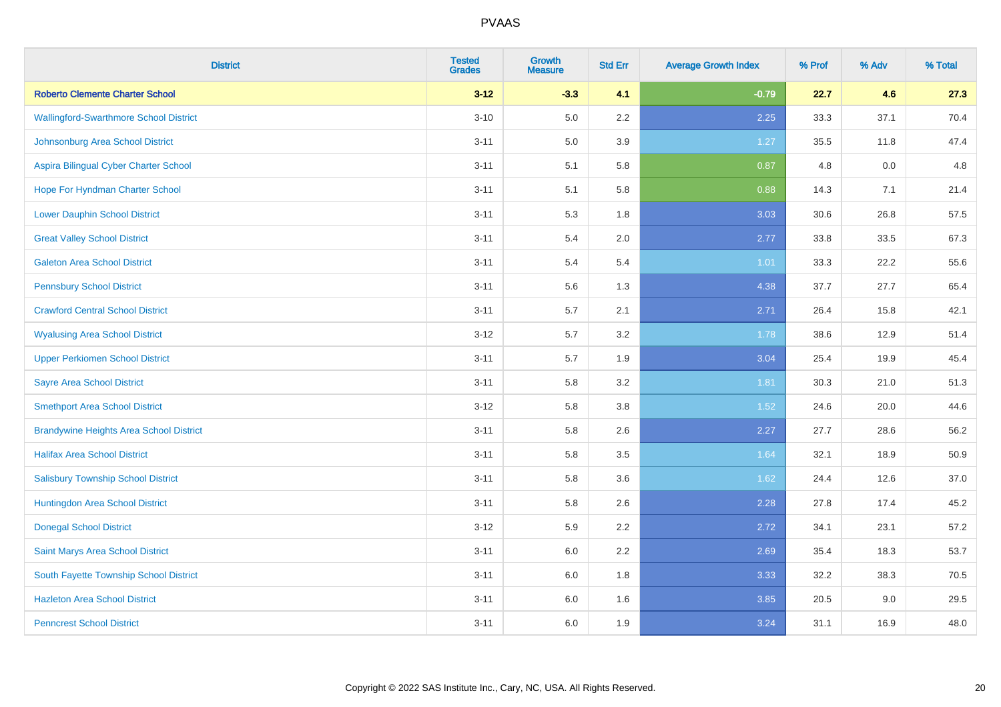| <b>District</b>                                | <b>Tested</b><br><b>Grades</b> | <b>Growth</b><br><b>Measure</b> | <b>Std Err</b> | <b>Average Growth Index</b> | % Prof | % Adv | % Total |
|------------------------------------------------|--------------------------------|---------------------------------|----------------|-----------------------------|--------|-------|---------|
| <b>Roberto Clemente Charter School</b>         | $3 - 12$                       | $-3.3$                          | 4.1            | $-0.79$                     | 22.7   | 4.6   | 27.3    |
| <b>Wallingford-Swarthmore School District</b>  | $3 - 10$                       | 5.0                             | 2.2            | 2.25                        | 33.3   | 37.1  | 70.4    |
| Johnsonburg Area School District               | $3 - 11$                       | 5.0                             | 3.9            | 1.27                        | 35.5   | 11.8  | 47.4    |
| Aspira Bilingual Cyber Charter School          | $3 - 11$                       | 5.1                             | 5.8            | 0.87                        | 4.8    | 0.0   | 4.8     |
| Hope For Hyndman Charter School                | $3 - 11$                       | 5.1                             | 5.8            | 0.88                        | 14.3   | 7.1   | 21.4    |
| <b>Lower Dauphin School District</b>           | $3 - 11$                       | 5.3                             | 1.8            | 3.03                        | 30.6   | 26.8  | 57.5    |
| <b>Great Valley School District</b>            | $3 - 11$                       | 5.4                             | 2.0            | 2.77                        | 33.8   | 33.5  | 67.3    |
| <b>Galeton Area School District</b>            | $3 - 11$                       | 5.4                             | 5.4            | 1.01                        | 33.3   | 22.2  | 55.6    |
| <b>Pennsbury School District</b>               | $3 - 11$                       | 5.6                             | 1.3            | 4.38                        | 37.7   | 27.7  | 65.4    |
| <b>Crawford Central School District</b>        | $3 - 11$                       | 5.7                             | 2.1            | 2.71                        | 26.4   | 15.8  | 42.1    |
| <b>Wyalusing Area School District</b>          | $3 - 12$                       | 5.7                             | 3.2            | 1.78                        | 38.6   | 12.9  | 51.4    |
| <b>Upper Perkiomen School District</b>         | $3 - 11$                       | 5.7                             | 1.9            | 3.04                        | 25.4   | 19.9  | 45.4    |
| <b>Sayre Area School District</b>              | $3 - 11$                       | 5.8                             | 3.2            | 1.81                        | 30.3   | 21.0  | 51.3    |
| <b>Smethport Area School District</b>          | $3 - 12$                       | 5.8                             | 3.8            | 1.52                        | 24.6   | 20.0  | 44.6    |
| <b>Brandywine Heights Area School District</b> | $3 - 11$                       | 5.8                             | 2.6            | 2.27                        | 27.7   | 28.6  | 56.2    |
| <b>Halifax Area School District</b>            | $3 - 11$                       | 5.8                             | 3.5            | 1.64                        | 32.1   | 18.9  | 50.9    |
| <b>Salisbury Township School District</b>      | $3 - 11$                       | 5.8                             | 3.6            | 1.62                        | 24.4   | 12.6  | 37.0    |
| Huntingdon Area School District                | $3 - 11$                       | 5.8                             | 2.6            | 2.28                        | 27.8   | 17.4  | 45.2    |
| <b>Donegal School District</b>                 | $3 - 12$                       | 5.9                             | 2.2            | 2.72                        | 34.1   | 23.1  | 57.2    |
| Saint Marys Area School District               | $3 - 11$                       | 6.0                             | 2.2            | 2.69                        | 35.4   | 18.3  | 53.7    |
| South Fayette Township School District         | $3 - 11$                       | 6.0                             | 1.8            | 3.33                        | 32.2   | 38.3  | 70.5    |
| <b>Hazleton Area School District</b>           | $3 - 11$                       | 6.0                             | 1.6            | 3.85                        | 20.5   | 9.0   | 29.5    |
| <b>Penncrest School District</b>               | $3 - 11$                       | 6.0                             | 1.9            | 3.24                        | 31.1   | 16.9  | 48.0    |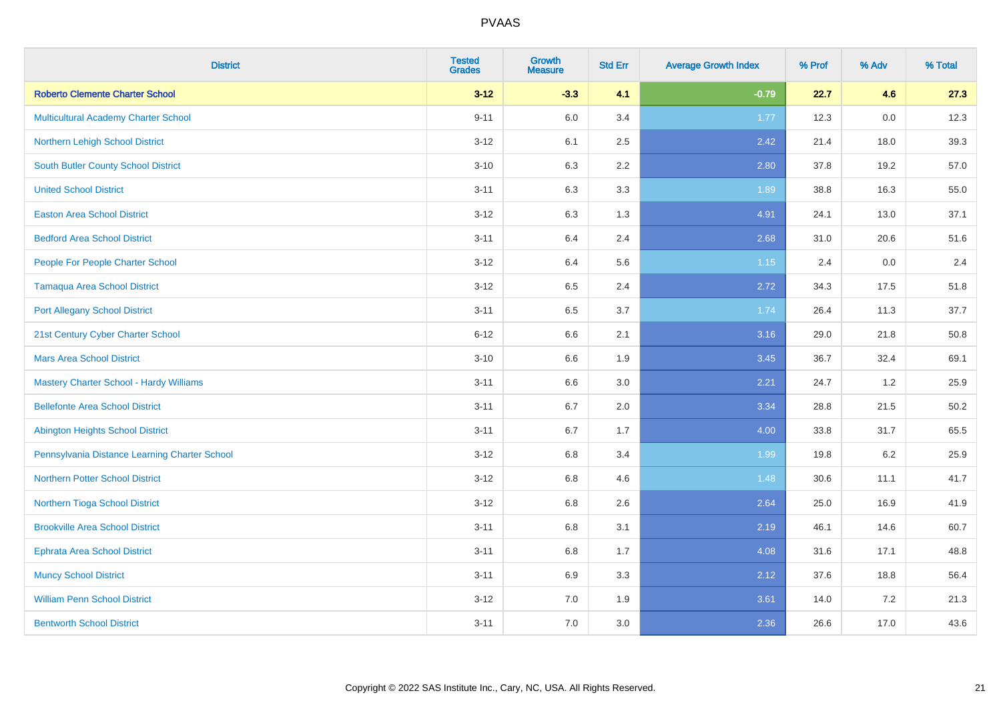| <b>District</b>                                | <b>Tested</b><br><b>Grades</b> | <b>Growth</b><br><b>Measure</b> | <b>Std Err</b> | <b>Average Growth Index</b> | % Prof | % Adv   | % Total |
|------------------------------------------------|--------------------------------|---------------------------------|----------------|-----------------------------|--------|---------|---------|
| <b>Roberto Clemente Charter School</b>         | $3 - 12$                       | $-3.3$                          | 4.1            | $-0.79$                     | 22.7   | 4.6     | 27.3    |
| <b>Multicultural Academy Charter School</b>    | $9 - 11$                       | 6.0                             | 3.4            | 1.77                        | 12.3   | 0.0     | 12.3    |
| Northern Lehigh School District                | $3 - 12$                       | 6.1                             | 2.5            | 2.42                        | 21.4   | 18.0    | 39.3    |
| <b>South Butler County School District</b>     | $3 - 10$                       | 6.3                             | 2.2            | 2.80                        | 37.8   | 19.2    | 57.0    |
| <b>United School District</b>                  | $3 - 11$                       | 6.3                             | 3.3            | 1.89                        | 38.8   | 16.3    | 55.0    |
| <b>Easton Area School District</b>             | $3 - 12$                       | 6.3                             | 1.3            | 4.91                        | 24.1   | 13.0    | 37.1    |
| <b>Bedford Area School District</b>            | $3 - 11$                       | 6.4                             | 2.4            | 2.68                        | 31.0   | 20.6    | 51.6    |
| People For People Charter School               | $3 - 12$                       | 6.4                             | 5.6            | $1.15$                      | 2.4    | 0.0     | 2.4     |
| <b>Tamaqua Area School District</b>            | $3 - 12$                       | 6.5                             | 2.4            | 2.72                        | 34.3   | 17.5    | 51.8    |
| <b>Port Allegany School District</b>           | $3 - 11$                       | 6.5                             | 3.7            | 1.74                        | 26.4   | 11.3    | 37.7    |
| 21st Century Cyber Charter School              | $6 - 12$                       | 6.6                             | 2.1            | 3.16                        | 29.0   | 21.8    | 50.8    |
| <b>Mars Area School District</b>               | $3 - 10$                       | 6.6                             | 1.9            | 3.45                        | 36.7   | 32.4    | 69.1    |
| <b>Mastery Charter School - Hardy Williams</b> | $3 - 11$                       | 6.6                             | 3.0            | 2.21                        | 24.7   | 1.2     | 25.9    |
| <b>Bellefonte Area School District</b>         | $3 - 11$                       | 6.7                             | 2.0            | 3.34                        | 28.8   | 21.5    | 50.2    |
| <b>Abington Heights School District</b>        | $3 - 11$                       | 6.7                             | 1.7            | 4.00                        | 33.8   | 31.7    | 65.5    |
| Pennsylvania Distance Learning Charter School  | $3 - 12$                       | 6.8                             | 3.4            | 1.99                        | 19.8   | $6.2\,$ | 25.9    |
| <b>Northern Potter School District</b>         | $3 - 12$                       | 6.8                             | 4.6            | 1.48                        | 30.6   | 11.1    | 41.7    |
| Northern Tioga School District                 | $3 - 12$                       | 6.8                             | 2.6            | 2.64                        | 25.0   | 16.9    | 41.9    |
| <b>Brookville Area School District</b>         | $3 - 11$                       | $6.8\,$                         | 3.1            | 2.19                        | 46.1   | 14.6    | 60.7    |
| <b>Ephrata Area School District</b>            | $3 - 11$                       | $6.8\,$                         | 1.7            | 4.08                        | 31.6   | 17.1    | 48.8    |
| <b>Muncy School District</b>                   | $3 - 11$                       | 6.9                             | 3.3            | 2.12                        | 37.6   | 18.8    | 56.4    |
| <b>William Penn School District</b>            | $3 - 12$                       | 7.0                             | 1.9            | 3.61                        | 14.0   | 7.2     | 21.3    |
| <b>Bentworth School District</b>               | $3 - 11$                       | 7.0                             | 3.0            | 2.36                        | 26.6   | 17.0    | 43.6    |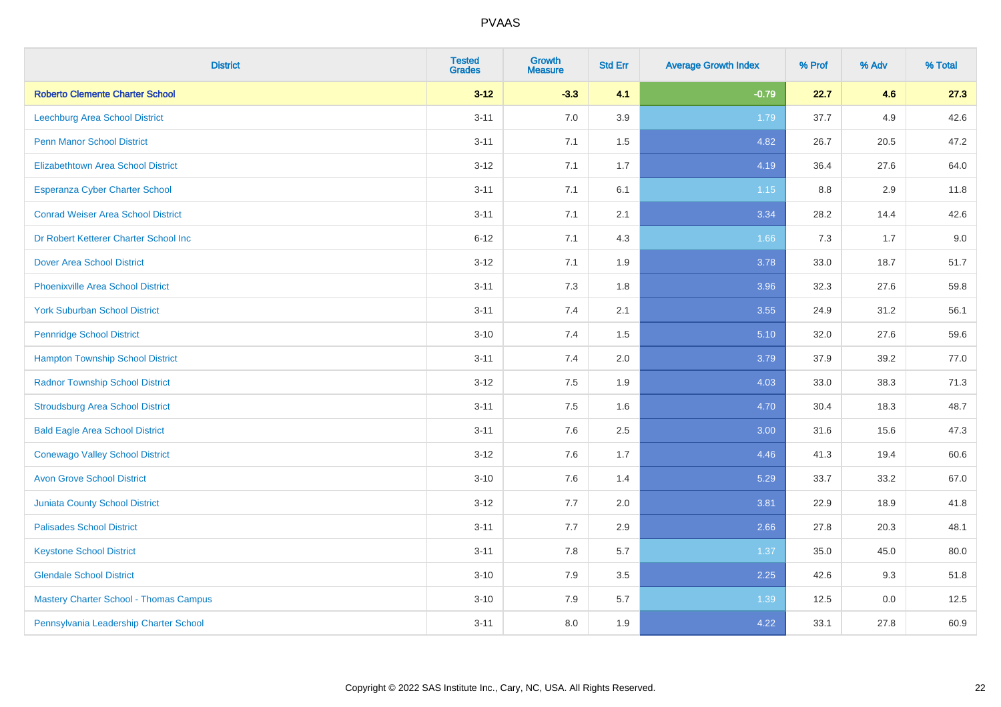| <b>District</b>                               | <b>Tested</b><br><b>Grades</b> | <b>Growth</b><br><b>Measure</b> | <b>Std Err</b> | <b>Average Growth Index</b> | % Prof | % Adv | % Total |
|-----------------------------------------------|--------------------------------|---------------------------------|----------------|-----------------------------|--------|-------|---------|
| <b>Roberto Clemente Charter School</b>        | $3 - 12$                       | $-3.3$                          | 4.1            | $-0.79$                     | 22.7   | 4.6   | 27.3    |
| <b>Leechburg Area School District</b>         | $3 - 11$                       | 7.0                             | 3.9            | 1.79                        | 37.7   | 4.9   | 42.6    |
| <b>Penn Manor School District</b>             | $3 - 11$                       | 7.1                             | 1.5            | 4.82                        | 26.7   | 20.5  | 47.2    |
| <b>Elizabethtown Area School District</b>     | $3 - 12$                       | 7.1                             | 1.7            | 4.19                        | 36.4   | 27.6  | 64.0    |
| <b>Esperanza Cyber Charter School</b>         | $3 - 11$                       | 7.1                             | 6.1            | $1.15$                      | 8.8    | 2.9   | 11.8    |
| <b>Conrad Weiser Area School District</b>     | $3 - 11$                       | 7.1                             | 2.1            | 3.34                        | 28.2   | 14.4  | 42.6    |
| Dr Robert Ketterer Charter School Inc         | $6 - 12$                       | 7.1                             | 4.3            | 1.66                        | 7.3    | 1.7   | 9.0     |
| <b>Dover Area School District</b>             | $3 - 12$                       | 7.1                             | 1.9            | 3.78                        | 33.0   | 18.7  | 51.7    |
| <b>Phoenixville Area School District</b>      | $3 - 11$                       | 7.3                             | 1.8            | 3.96                        | 32.3   | 27.6  | 59.8    |
| <b>York Suburban School District</b>          | $3 - 11$                       | 7.4                             | 2.1            | 3.55                        | 24.9   | 31.2  | 56.1    |
| <b>Pennridge School District</b>              | $3 - 10$                       | 7.4                             | 1.5            | 5.10                        | 32.0   | 27.6  | 59.6    |
| <b>Hampton Township School District</b>       | $3 - 11$                       | 7.4                             | 2.0            | 3.79                        | 37.9   | 39.2  | 77.0    |
| <b>Radnor Township School District</b>        | $3 - 12$                       | 7.5                             | 1.9            | 4.03                        | 33.0   | 38.3  | 71.3    |
| <b>Stroudsburg Area School District</b>       | $3 - 11$                       | 7.5                             | 1.6            | 4.70                        | 30.4   | 18.3  | 48.7    |
| <b>Bald Eagle Area School District</b>        | $3 - 11$                       | 7.6                             | 2.5            | 3.00                        | 31.6   | 15.6  | 47.3    |
| <b>Conewago Valley School District</b>        | $3 - 12$                       | 7.6                             | 1.7            | 4.46                        | 41.3   | 19.4  | 60.6    |
| <b>Avon Grove School District</b>             | $3 - 10$                       | 7.6                             | 1.4            | 5.29                        | 33.7   | 33.2  | 67.0    |
| <b>Juniata County School District</b>         | $3 - 12$                       | 7.7                             | 2.0            | 3.81                        | 22.9   | 18.9  | 41.8    |
| <b>Palisades School District</b>              | $3 - 11$                       | 7.7                             | 2.9            | 2.66                        | 27.8   | 20.3  | 48.1    |
| <b>Keystone School District</b>               | $3 - 11$                       | 7.8                             | 5.7            | 1.37                        | 35.0   | 45.0  | 80.0    |
| <b>Glendale School District</b>               | $3 - 10$                       | 7.9                             | $3.5\,$        | 2.25                        | 42.6   | 9.3   | 51.8    |
| <b>Mastery Charter School - Thomas Campus</b> | $3 - 10$                       | 7.9                             | 5.7            | 1.39                        | 12.5   | 0.0   | 12.5    |
| Pennsylvania Leadership Charter School        | $3 - 11$                       | 8.0                             | 1.9            | 4.22                        | 33.1   | 27.8  | 60.9    |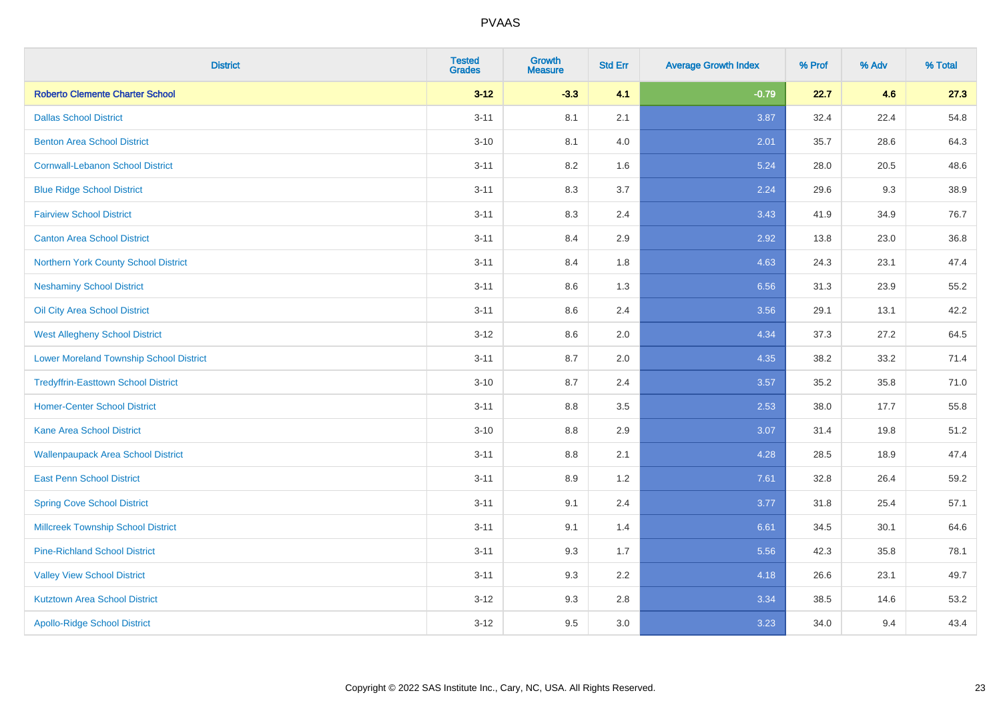| <b>District</b>                                | <b>Tested</b><br><b>Grades</b> | <b>Growth</b><br><b>Measure</b> | <b>Std Err</b> | <b>Average Growth Index</b> | % Prof | % Adv | % Total |
|------------------------------------------------|--------------------------------|---------------------------------|----------------|-----------------------------|--------|-------|---------|
| <b>Roberto Clemente Charter School</b>         | $3 - 12$                       | $-3.3$                          | 4.1            | $-0.79$                     | 22.7   | 4.6   | 27.3    |
| <b>Dallas School District</b>                  | $3 - 11$                       | 8.1                             | 2.1            | 3.87                        | 32.4   | 22.4  | 54.8    |
| <b>Benton Area School District</b>             | $3 - 10$                       | 8.1                             | 4.0            | 2.01                        | 35.7   | 28.6  | 64.3    |
| <b>Cornwall-Lebanon School District</b>        | $3 - 11$                       | 8.2                             | 1.6            | 5.24                        | 28.0   | 20.5  | 48.6    |
| <b>Blue Ridge School District</b>              | $3 - 11$                       | 8.3                             | 3.7            | 2.24                        | 29.6   | 9.3   | 38.9    |
| <b>Fairview School District</b>                | $3 - 11$                       | 8.3                             | 2.4            | 3.43                        | 41.9   | 34.9  | 76.7    |
| <b>Canton Area School District</b>             | $3 - 11$                       | 8.4                             | 2.9            | 2.92                        | 13.8   | 23.0  | 36.8    |
| Northern York County School District           | $3 - 11$                       | 8.4                             | 1.8            | 4.63                        | 24.3   | 23.1  | 47.4    |
| <b>Neshaminy School District</b>               | $3 - 11$                       | 8.6                             | 1.3            | 6.56                        | 31.3   | 23.9  | 55.2    |
| Oil City Area School District                  | $3 - 11$                       | 8.6                             | 2.4            | 3.56                        | 29.1   | 13.1  | 42.2    |
| <b>West Allegheny School District</b>          | $3-12$                         | 8.6                             | 2.0            | 4.34                        | 37.3   | 27.2  | 64.5    |
| <b>Lower Moreland Township School District</b> | $3 - 11$                       | 8.7                             | 2.0            | 4.35                        | 38.2   | 33.2  | 71.4    |
| <b>Tredyffrin-Easttown School District</b>     | $3 - 10$                       | 8.7                             | 2.4            | 3.57                        | 35.2   | 35.8  | 71.0    |
| <b>Homer-Center School District</b>            | $3 - 11$                       | 8.8                             | 3.5            | 2.53                        | 38.0   | 17.7  | 55.8    |
| Kane Area School District                      | $3 - 10$                       | 8.8                             | 2.9            | 3.07                        | 31.4   | 19.8  | 51.2    |
| <b>Wallenpaupack Area School District</b>      | $3 - 11$                       | 8.8                             | 2.1            | 4.28                        | 28.5   | 18.9  | 47.4    |
| <b>East Penn School District</b>               | $3 - 11$                       | 8.9                             | 1.2            | 7.61                        | 32.8   | 26.4  | 59.2    |
| <b>Spring Cove School District</b>             | $3 - 11$                       | 9.1                             | 2.4            | 3.77                        | 31.8   | 25.4  | 57.1    |
| <b>Millcreek Township School District</b>      | $3 - 11$                       | 9.1                             | 1.4            | 6.61                        | 34.5   | 30.1  | 64.6    |
| <b>Pine-Richland School District</b>           | $3 - 11$                       | 9.3                             | 1.7            | 5.56                        | 42.3   | 35.8  | 78.1    |
| <b>Valley View School District</b>             | $3 - 11$                       | 9.3                             | 2.2            | 4.18                        | 26.6   | 23.1  | 49.7    |
| <b>Kutztown Area School District</b>           | $3-12$                         | 9.3                             | 2.8            | 3.34                        | 38.5   | 14.6  | 53.2    |
| <b>Apollo-Ridge School District</b>            | $3 - 12$                       | 9.5                             | 3.0            | 3.23                        | 34.0   | 9.4   | 43.4    |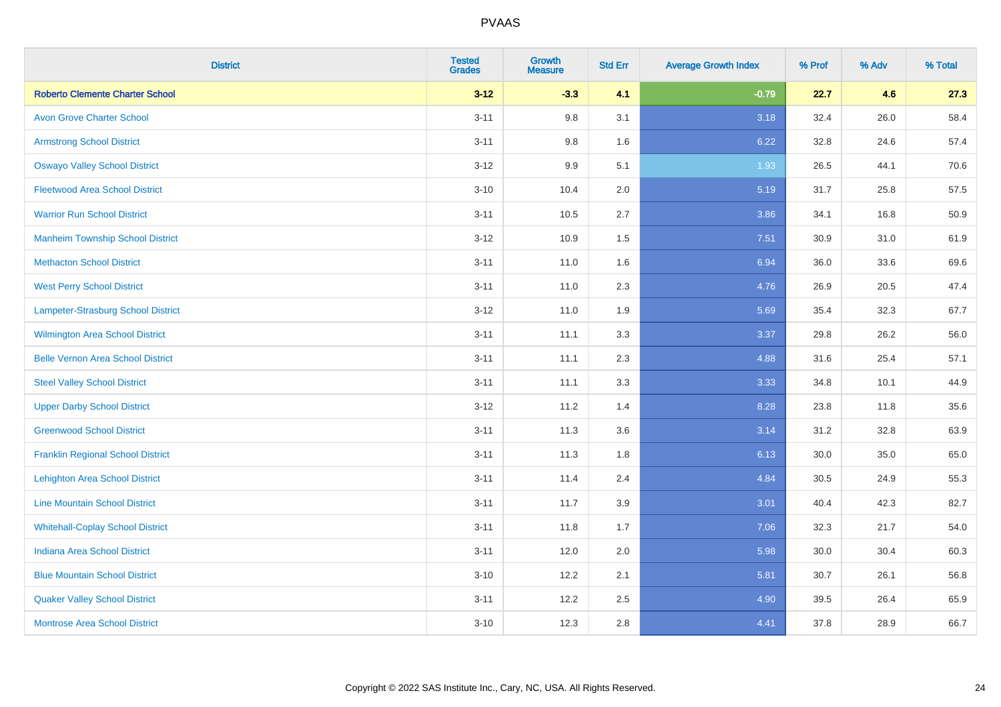| <b>District</b>                          | <b>Tested</b><br><b>Grades</b> | <b>Growth</b><br><b>Measure</b> | <b>Std Err</b> | <b>Average Growth Index</b> | % Prof | % Adv | % Total |
|------------------------------------------|--------------------------------|---------------------------------|----------------|-----------------------------|--------|-------|---------|
| <b>Roberto Clemente Charter School</b>   | $3 - 12$                       | $-3.3$                          | 4.1            | $-0.79$                     | 22.7   | 4.6   | 27.3    |
| <b>Avon Grove Charter School</b>         | $3 - 11$                       | 9.8                             | 3.1            | 3.18                        | 32.4   | 26.0  | 58.4    |
| <b>Armstrong School District</b>         | $3 - 11$                       | 9.8                             | 1.6            | 6.22                        | 32.8   | 24.6  | 57.4    |
| <b>Oswayo Valley School District</b>     | $3 - 12$                       | 9.9                             | 5.1            | 1.93                        | 26.5   | 44.1  | 70.6    |
| <b>Fleetwood Area School District</b>    | $3 - 10$                       | 10.4                            | 2.0            | 5.19                        | 31.7   | 25.8  | 57.5    |
| <b>Warrior Run School District</b>       | $3 - 11$                       | 10.5                            | 2.7            | 3.86                        | 34.1   | 16.8  | 50.9    |
| <b>Manheim Township School District</b>  | $3-12$                         | 10.9                            | 1.5            | 7.51                        | 30.9   | 31.0  | 61.9    |
| <b>Methacton School District</b>         | $3 - 11$                       | 11.0                            | 1.6            | 6.94                        | 36.0   | 33.6  | 69.6    |
| <b>West Perry School District</b>        | $3 - 11$                       | 11.0                            | 2.3            | 4.76                        | 26.9   | 20.5  | 47.4    |
| Lampeter-Strasburg School District       | $3 - 12$                       | 11.0                            | 1.9            | 5.69                        | 35.4   | 32.3  | 67.7    |
| <b>Wilmington Area School District</b>   | $3 - 11$                       | 11.1                            | 3.3            | 3.37                        | 29.8   | 26.2  | 56.0    |
| <b>Belle Vernon Area School District</b> | $3 - 11$                       | 11.1                            | 2.3            | 4.88                        | 31.6   | 25.4  | 57.1    |
| <b>Steel Valley School District</b>      | $3 - 11$                       | 11.1                            | 3.3            | 3.33                        | 34.8   | 10.1  | 44.9    |
| <b>Upper Darby School District</b>       | $3 - 12$                       | 11.2                            | 1.4            | 8.28                        | 23.8   | 11.8  | 35.6    |
| <b>Greenwood School District</b>         | $3 - 11$                       | 11.3                            | 3.6            | 3.14                        | 31.2   | 32.8  | 63.9    |
| <b>Franklin Regional School District</b> | $3 - 11$                       | 11.3                            | 1.8            | 6.13                        | 30.0   | 35.0  | 65.0    |
| <b>Lehighton Area School District</b>    | $3 - 11$                       | 11.4                            | 2.4            | 4.84                        | 30.5   | 24.9  | 55.3    |
| <b>Line Mountain School District</b>     | $3 - 11$                       | 11.7                            | 3.9            | 3.01                        | 40.4   | 42.3  | 82.7    |
| <b>Whitehall-Coplay School District</b>  | $3 - 11$                       | 11.8                            | 1.7            | 7.06                        | 32.3   | 21.7  | 54.0    |
| <b>Indiana Area School District</b>      | $3 - 11$                       | 12.0                            | 2.0            | 5.98                        | 30.0   | 30.4  | 60.3    |
| <b>Blue Mountain School District</b>     | $3 - 10$                       | 12.2                            | 2.1            | 5.81                        | 30.7   | 26.1  | 56.8    |
| <b>Quaker Valley School District</b>     | $3 - 11$                       | 12.2                            | 2.5            | 4.90                        | 39.5   | 26.4  | 65.9    |
| <b>Montrose Area School District</b>     | $3 - 10$                       | 12.3                            | 2.8            | 4.41                        | 37.8   | 28.9  | 66.7    |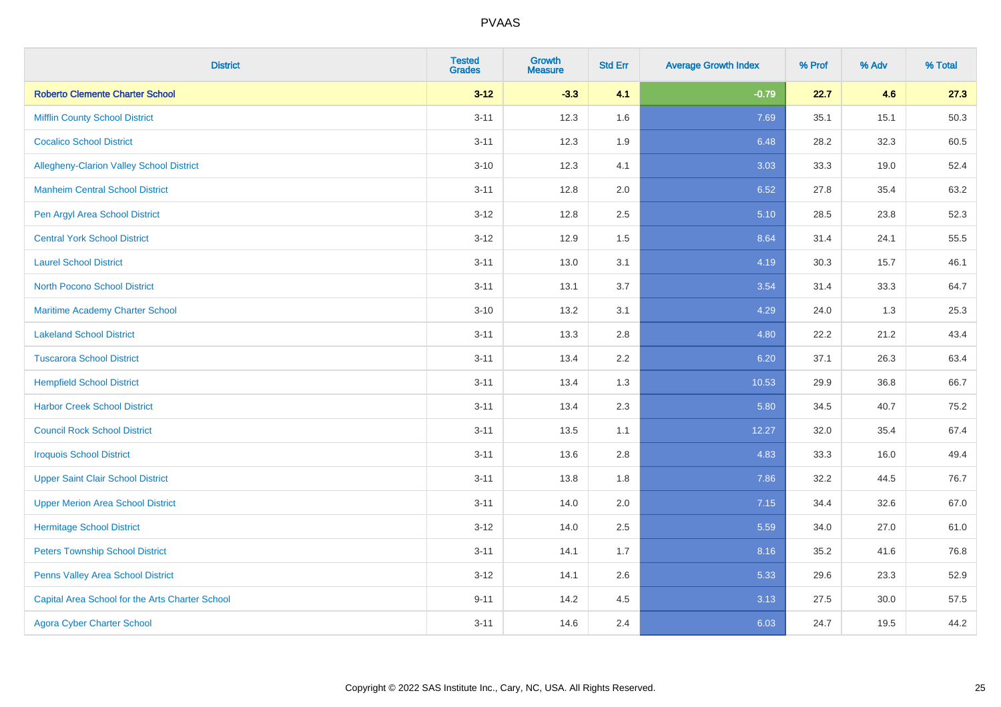| <b>District</b>                                 | <b>Tested</b><br><b>Grades</b> | <b>Growth</b><br><b>Measure</b> | <b>Std Err</b> | <b>Average Growth Index</b> | % Prof | % Adv | % Total |
|-------------------------------------------------|--------------------------------|---------------------------------|----------------|-----------------------------|--------|-------|---------|
| <b>Roberto Clemente Charter School</b>          | $3 - 12$                       | $-3.3$                          | 4.1            | $-0.79$                     | 22.7   | 4.6   | 27.3    |
| <b>Mifflin County School District</b>           | $3 - 11$                       | 12.3                            | 1.6            | 7.69                        | 35.1   | 15.1  | 50.3    |
| <b>Cocalico School District</b>                 | $3 - 11$                       | 12.3                            | 1.9            | 6.48                        | 28.2   | 32.3  | 60.5    |
| Allegheny-Clarion Valley School District        | $3 - 10$                       | 12.3                            | 4.1            | 3.03                        | 33.3   | 19.0  | 52.4    |
| <b>Manheim Central School District</b>          | $3 - 11$                       | 12.8                            | 2.0            | 6.52                        | 27.8   | 35.4  | 63.2    |
| Pen Argyl Area School District                  | $3 - 12$                       | 12.8                            | 2.5            | 5.10                        | 28.5   | 23.8  | 52.3    |
| <b>Central York School District</b>             | $3 - 12$                       | 12.9                            | 1.5            | 8.64                        | 31.4   | 24.1  | 55.5    |
| <b>Laurel School District</b>                   | $3 - 11$                       | 13.0                            | 3.1            | 4.19                        | 30.3   | 15.7  | 46.1    |
| <b>North Pocono School District</b>             | $3 - 11$                       | 13.1                            | 3.7            | 3.54                        | 31.4   | 33.3  | 64.7    |
| <b>Maritime Academy Charter School</b>          | $3 - 10$                       | 13.2                            | 3.1            | 4.29                        | 24.0   | 1.3   | 25.3    |
| <b>Lakeland School District</b>                 | $3 - 11$                       | 13.3                            | 2.8            | 4.80                        | 22.2   | 21.2  | 43.4    |
| <b>Tuscarora School District</b>                | $3 - 11$                       | 13.4                            | 2.2            | 6.20                        | 37.1   | 26.3  | 63.4    |
| <b>Hempfield School District</b>                | $3 - 11$                       | 13.4                            | 1.3            | 10.53                       | 29.9   | 36.8  | 66.7    |
| <b>Harbor Creek School District</b>             | $3 - 11$                       | 13.4                            | 2.3            | 5.80                        | 34.5   | 40.7  | 75.2    |
| <b>Council Rock School District</b>             | $3 - 11$                       | 13.5                            | 1.1            | 12.27                       | 32.0   | 35.4  | 67.4    |
| <b>Iroquois School District</b>                 | $3 - 11$                       | 13.6                            | 2.8            | 4.83                        | 33.3   | 16.0  | 49.4    |
| <b>Upper Saint Clair School District</b>        | $3 - 11$                       | 13.8                            | 1.8            | 7.86                        | 32.2   | 44.5  | 76.7    |
| <b>Upper Merion Area School District</b>        | $3 - 11$                       | 14.0                            | 2.0            | 7.15                        | 34.4   | 32.6  | 67.0    |
| <b>Hermitage School District</b>                | $3 - 12$                       | 14.0                            | 2.5            | 5.59                        | 34.0   | 27.0  | 61.0    |
| <b>Peters Township School District</b>          | $3 - 11$                       | 14.1                            | 1.7            | 8.16                        | 35.2   | 41.6  | 76.8    |
| Penns Valley Area School District               | $3 - 12$                       | 14.1                            | 2.6            | 5.33                        | 29.6   | 23.3  | 52.9    |
| Capital Area School for the Arts Charter School | $9 - 11$                       | 14.2                            | 4.5            | 3.13                        | 27.5   | 30.0  | 57.5    |
| <b>Agora Cyber Charter School</b>               | $3 - 11$                       | 14.6                            | 2.4            | 6.03                        | 24.7   | 19.5  | 44.2    |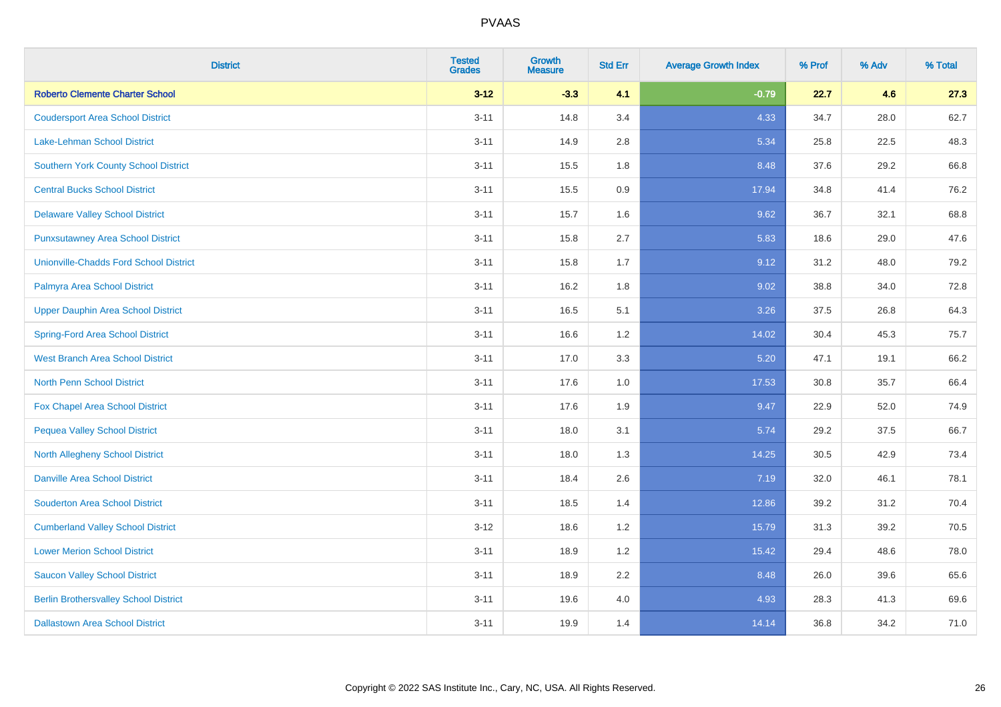| <b>District</b>                               | <b>Tested</b><br><b>Grades</b> | <b>Growth</b><br><b>Measure</b> | <b>Std Err</b> | <b>Average Growth Index</b> | % Prof | % Adv | % Total |
|-----------------------------------------------|--------------------------------|---------------------------------|----------------|-----------------------------|--------|-------|---------|
| <b>Roberto Clemente Charter School</b>        | $3 - 12$                       | $-3.3$                          | 4.1            | $-0.79$                     | 22.7   | 4.6   | 27.3    |
| <b>Coudersport Area School District</b>       | $3 - 11$                       | 14.8                            | 3.4            | 4.33                        | 34.7   | 28.0  | 62.7    |
| Lake-Lehman School District                   | $3 - 11$                       | 14.9                            | 2.8            | 5.34                        | 25.8   | 22.5  | 48.3    |
| Southern York County School District          | $3 - 11$                       | 15.5                            | 1.8            | 8.48                        | 37.6   | 29.2  | 66.8    |
| <b>Central Bucks School District</b>          | $3 - 11$                       | 15.5                            | 0.9            | 17.94                       | 34.8   | 41.4  | 76.2    |
| <b>Delaware Valley School District</b>        | $3 - 11$                       | 15.7                            | 1.6            | 9.62                        | 36.7   | 32.1  | 68.8    |
| <b>Punxsutawney Area School District</b>      | $3 - 11$                       | 15.8                            | 2.7            | 5.83                        | 18.6   | 29.0  | 47.6    |
| <b>Unionville-Chadds Ford School District</b> | $3 - 11$                       | 15.8                            | 1.7            | 9.12                        | 31.2   | 48.0  | 79.2    |
| Palmyra Area School District                  | $3 - 11$                       | 16.2                            | 1.8            | 9.02                        | 38.8   | 34.0  | 72.8    |
| <b>Upper Dauphin Area School District</b>     | $3 - 11$                       | 16.5                            | 5.1            | 3.26                        | 37.5   | 26.8  | 64.3    |
| <b>Spring-Ford Area School District</b>       | $3 - 11$                       | 16.6                            | 1.2            | 14.02                       | 30.4   | 45.3  | 75.7    |
| <b>West Branch Area School District</b>       | $3 - 11$                       | 17.0                            | 3.3            | 5.20                        | 47.1   | 19.1  | 66.2    |
| North Penn School District                    | $3 - 11$                       | 17.6                            | $1.0\,$        | 17.53                       | 30.8   | 35.7  | 66.4    |
| Fox Chapel Area School District               | $3 - 11$                       | 17.6                            | 1.9            | 9.47                        | 22.9   | 52.0  | 74.9    |
| <b>Pequea Valley School District</b>          | $3 - 11$                       | 18.0                            | 3.1            | 5.74                        | 29.2   | 37.5  | 66.7    |
| North Allegheny School District               | $3 - 11$                       | 18.0                            | 1.3            | 14.25                       | 30.5   | 42.9  | 73.4    |
| <b>Danville Area School District</b>          | $3 - 11$                       | 18.4                            | 2.6            | 7.19                        | 32.0   | 46.1  | 78.1    |
| <b>Souderton Area School District</b>         | $3 - 11$                       | 18.5                            | 1.4            | 12.86                       | 39.2   | 31.2  | 70.4    |
| <b>Cumberland Valley School District</b>      | $3 - 12$                       | 18.6                            | 1.2            | 15.79                       | 31.3   | 39.2  | 70.5    |
| <b>Lower Merion School District</b>           | $3 - 11$                       | 18.9                            | 1.2            | 15.42                       | 29.4   | 48.6  | 78.0    |
| <b>Saucon Valley School District</b>          | $3 - 11$                       | 18.9                            | 2.2            | 8.48                        | 26.0   | 39.6  | 65.6    |
| <b>Berlin Brothersvalley School District</b>  | $3 - 11$                       | 19.6                            | 4.0            | 4.93                        | 28.3   | 41.3  | 69.6    |
| <b>Dallastown Area School District</b>        | $3 - 11$                       | 19.9                            | 1.4            | 14.14                       | 36.8   | 34.2  | 71.0    |